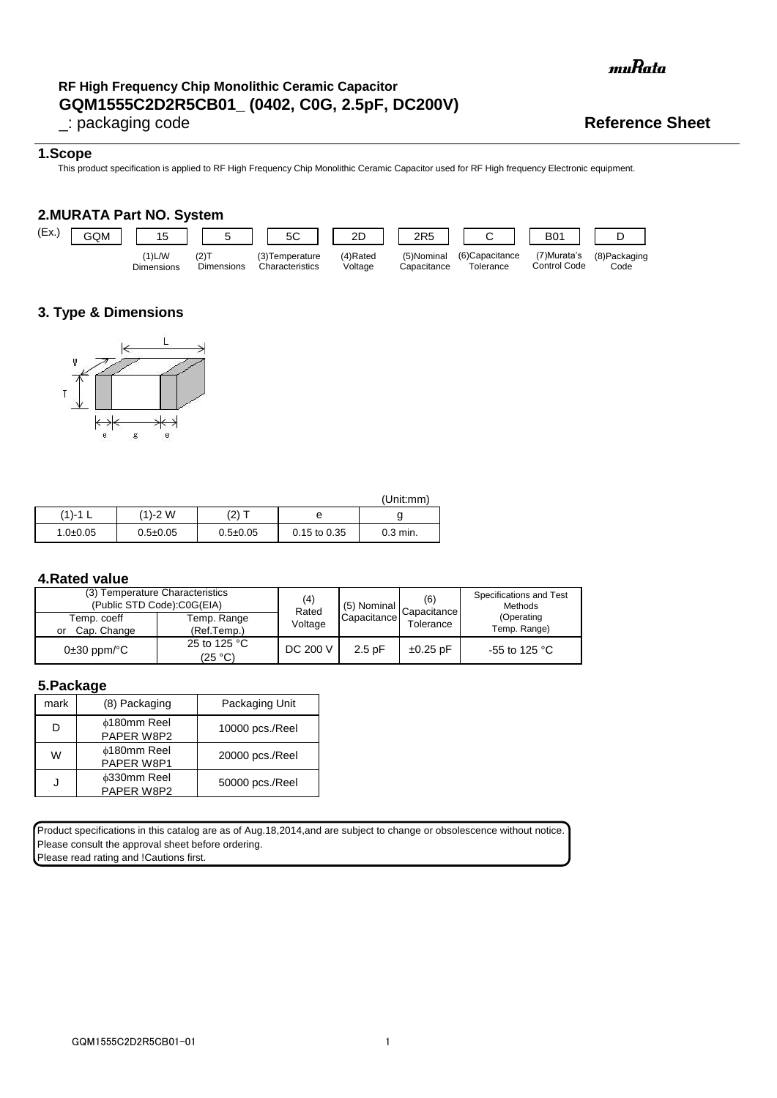# **GQM1555C2D2R5CB01\_ (0402, C0G, 2.5pF, DC200V) RF High Frequency Chip Monolithic Ceramic Capacitor**

muRata

### **1.Scope**

This product specification is applied to RF High Frequency Chip Monolithic Ceramic Capacitor used for RF High frequency Electronic equipment.

### **2.MURATA Part NO. System**



# **3. Type & Dimensions**



|              |                |                |                  | (Unit:mm)  |
|--------------|----------------|----------------|------------------|------------|
| (1)-1        | $(1) - 2 W$    | (2) :          | е                |            |
| $1.0 + 0.05$ | $0.5 \pm 0.05$ | $0.5 \pm 0.05$ | $0.15$ to $0.35$ | $0.3$ min. |

### **4.Rated value**

| (3) Temperature Characteristics<br>(Public STD Code):C0G(EIA) | (4)<br>Rated               | (5) Nominal | (6)<br>Capacitance | Specifications and Test<br>Methods |                            |
|---------------------------------------------------------------|----------------------------|-------------|--------------------|------------------------------------|----------------------------|
| Temp. coeff<br>Cap. Change<br>or                              | Temp. Range<br>(Ref.Temp.) | Voltage     | Capacitance        | Tolerance                          | (Operating<br>Temp. Range) |
| $0\pm 30$ ppm/ $\degree$ C                                    | 25 to 125 °C<br>(25 °C)    | DC 200 V    | $2.5$ pF           | $\pm 0.25$ pF                      | -55 to 125 $^{\circ}$ C    |

### **5.Package**

| mark | (8) Packaging                    | Packaging Unit  |
|------|----------------------------------|-----------------|
| D    | ⊕180mm Reel<br>PAPER W8P2        | 10000 pcs./Reel |
| W    | <b>¢180mm Reel</b><br>PAPER W8P1 | 20000 pcs./Reel |
|      | <b>¢330mm Reel</b><br>PAPER W8P2 | 50000 pcs./Reel |

Product specifications in this catalog are as of Aug.18,2014,and are subject to change or obsolescence without notice. Please consult the approval sheet before ordering.

Please read rating and **!Cautions first.**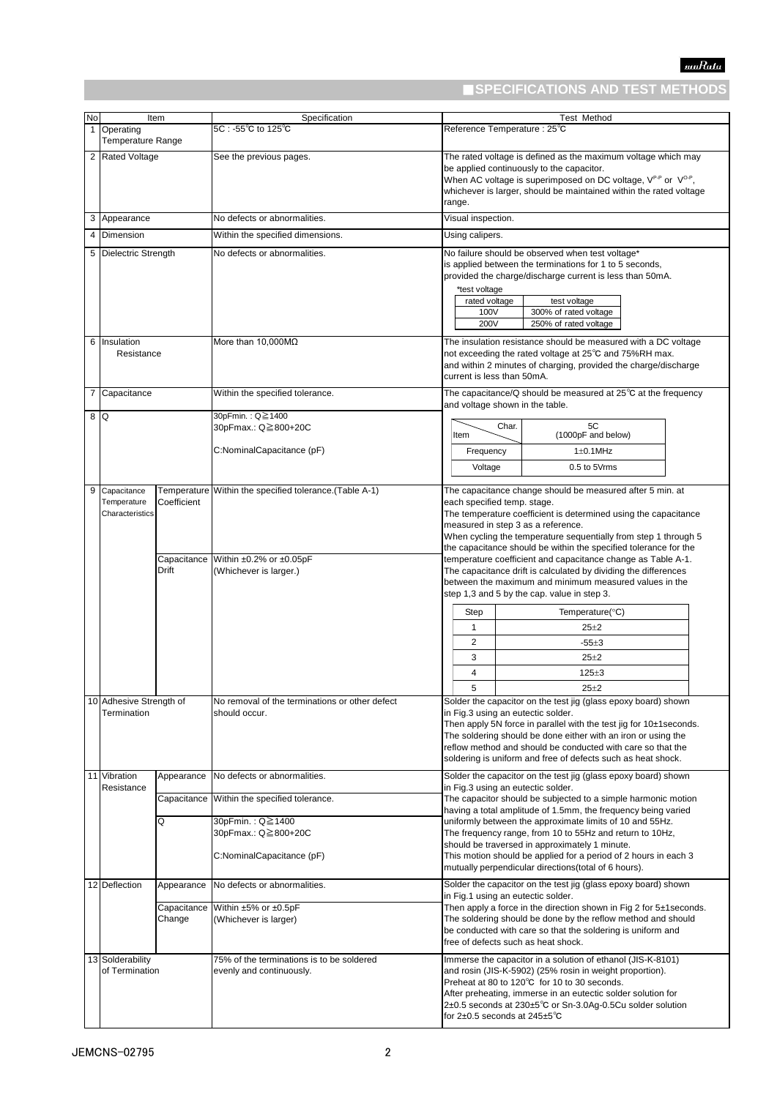# ■**SPECIFICATIONS AND TEST METHODS**

| No | Item                                            |                                     | Specification                                                                                                | <b>Test Method</b>                                                                                                                                                                                                                                                                                                                                                                                                                                                          |                                                                                                                                                                                                                                                                       |                                                        |                                                                                                                                                                                                                                                                                                       |
|----|-------------------------------------------------|-------------------------------------|--------------------------------------------------------------------------------------------------------------|-----------------------------------------------------------------------------------------------------------------------------------------------------------------------------------------------------------------------------------------------------------------------------------------------------------------------------------------------------------------------------------------------------------------------------------------------------------------------------|-----------------------------------------------------------------------------------------------------------------------------------------------------------------------------------------------------------------------------------------------------------------------|--------------------------------------------------------|-------------------------------------------------------------------------------------------------------------------------------------------------------------------------------------------------------------------------------------------------------------------------------------------------------|
|    | 1 Operating<br>Temperature Range                |                                     | 5C : -55℃ to 125℃                                                                                            |                                                                                                                                                                                                                                                                                                                                                                                                                                                                             |                                                                                                                                                                                                                                                                       |                                                        | Reference Temperature : 25°C                                                                                                                                                                                                                                                                          |
|    | 2 Rated Voltage                                 |                                     | See the previous pages.                                                                                      |                                                                                                                                                                                                                                                                                                                                                                                                                                                                             | The rated voltage is defined as the maximum voltage which may<br>be applied continuously to the capacitor.<br>When AC voltage is superimposed on DC voltage, $V^{P-P}$ or $V^{O-P}$ ,<br>whichever is larger, should be maintained within the rated voltage<br>range. |                                                        |                                                                                                                                                                                                                                                                                                       |
|    | 3 Appearance                                    |                                     | No defects or abnormalities.                                                                                 |                                                                                                                                                                                                                                                                                                                                                                                                                                                                             | Visual inspection.                                                                                                                                                                                                                                                    |                                                        |                                                                                                                                                                                                                                                                                                       |
|    | 4 Dimension                                     |                                     | Within the specified dimensions.                                                                             |                                                                                                                                                                                                                                                                                                                                                                                                                                                                             | Using calipers.                                                                                                                                                                                                                                                       |                                                        |                                                                                                                                                                                                                                                                                                       |
|    | 5 Dielectric Strength                           |                                     | No defects or abnormalities.                                                                                 |                                                                                                                                                                                                                                                                                                                                                                                                                                                                             |                                                                                                                                                                                                                                                                       |                                                        | No failure should be observed when test voltage*                                                                                                                                                                                                                                                      |
| 6  | Insulation                                      |                                     | More than $10,000M\Omega$                                                                                    |                                                                                                                                                                                                                                                                                                                                                                                                                                                                             | *test voltage<br>rated voltage<br>100V<br>200V                                                                                                                                                                                                                        |                                                        | is applied between the terminations for 1 to 5 seconds,<br>provided the charge/discharge current is less than 50mA.<br>test voltage<br>300% of rated voltage<br>250% of rated voltage<br>The insulation resistance should be measured with a DC voltage                                               |
|    | Resistance                                      |                                     |                                                                                                              |                                                                                                                                                                                                                                                                                                                                                                                                                                                                             | current is less than 50mA.                                                                                                                                                                                                                                            |                                                        | not exceeding the rated voltage at 25°C and 75%RH max.<br>and within 2 minutes of charging, provided the charge/discharge                                                                                                                                                                             |
|    | 7 Capacitance<br>8 Q                            |                                     | Within the specified tolerance.<br>30pFmin.: Q≧1400                                                          |                                                                                                                                                                                                                                                                                                                                                                                                                                                                             |                                                                                                                                                                                                                                                                       |                                                        | The capacitance/Q should be measured at $25^{\circ}$ C at the frequency<br>and voltage shown in the table.                                                                                                                                                                                            |
|    |                                                 |                                     | 30pFmax.: Q≧800+20C                                                                                          |                                                                                                                                                                                                                                                                                                                                                                                                                                                                             | Item                                                                                                                                                                                                                                                                  | Char.                                                  | 5C<br>(1000pF and below)                                                                                                                                                                                                                                                                              |
|    |                                                 |                                     | C:NominalCapacitance (pF)                                                                                    |                                                                                                                                                                                                                                                                                                                                                                                                                                                                             | Frequency                                                                                                                                                                                                                                                             |                                                        | $1\pm0.1$ MHz                                                                                                                                                                                                                                                                                         |
|    |                                                 |                                     |                                                                                                              |                                                                                                                                                                                                                                                                                                                                                                                                                                                                             | Voltage                                                                                                                                                                                                                                                               |                                                        | 0.5 to 5Vrms                                                                                                                                                                                                                                                                                          |
|    | 9 Capacitance<br>Temperature<br>Characteristics | Coefficient<br>Capacitance<br>Drift | Temperature Within the specified tolerance. (Table A-1)<br>Within ±0.2% or ±0.05pF<br>(Whichever is larger.) | The capacitance change should be measured after 5 min. at<br>each specified temp. stage.<br>The temperature coefficient is determined using the capacitance<br>measured in step 3 as a reference.<br>When cycling the temperature sequentially from step 1 through 5<br>the capacitance should be within the specified tolerance for the<br>temperature coefficient and capacitance change as Table A-1.<br>The capacitance drift is calculated by dividing the differences |                                                                                                                                                                                                                                                                       | between the maximum and minimum measured values in the |                                                                                                                                                                                                                                                                                                       |
|    |                                                 |                                     |                                                                                                              |                                                                                                                                                                                                                                                                                                                                                                                                                                                                             |                                                                                                                                                                                                                                                                       |                                                        | step 1,3 and 5 by the cap. value in step 3.<br>Temperature( $\mathrm{^{\circ}C}$ )                                                                                                                                                                                                                    |
|    |                                                 |                                     |                                                                                                              |                                                                                                                                                                                                                                                                                                                                                                                                                                                                             | Step<br>$\mathbf{1}$                                                                                                                                                                                                                                                  |                                                        | $25 + 2$                                                                                                                                                                                                                                                                                              |
|    |                                                 |                                     |                                                                                                              |                                                                                                                                                                                                                                                                                                                                                                                                                                                                             | $\overline{2}$                                                                                                                                                                                                                                                        |                                                        | $-55+3$                                                                                                                                                                                                                                                                                               |
|    |                                                 |                                     |                                                                                                              |                                                                                                                                                                                                                                                                                                                                                                                                                                                                             | 3                                                                                                                                                                                                                                                                     |                                                        | $25 + 2$                                                                                                                                                                                                                                                                                              |
|    |                                                 |                                     |                                                                                                              |                                                                                                                                                                                                                                                                                                                                                                                                                                                                             | 4                                                                                                                                                                                                                                                                     |                                                        | $125 + 3$                                                                                                                                                                                                                                                                                             |
|    |                                                 |                                     |                                                                                                              |                                                                                                                                                                                                                                                                                                                                                                                                                                                                             | 5                                                                                                                                                                                                                                                                     |                                                        | $25 + 2$                                                                                                                                                                                                                                                                                              |
|    | 10 Adhesive Strength of<br>Termination          |                                     | No removal of the terminations or other defect<br>should occur.                                              | Solder the capacitor on the test jig (glass epoxy board) shown<br>in Fig.3 using an eutectic solder.<br>Then apply 5N force in parallel with the test jig for 10±1 seconds.<br>The soldering should be done either with an iron or using the<br>reflow method and should be conducted with care so that the<br>soldering is uniform and free of defects such as heat shock.                                                                                                 |                                                                                                                                                                                                                                                                       |                                                        |                                                                                                                                                                                                                                                                                                       |
|    | 11 Vibration<br>Resistance                      | Appearance                          | No defects or abnormalities.                                                                                 |                                                                                                                                                                                                                                                                                                                                                                                                                                                                             |                                                                                                                                                                                                                                                                       |                                                        | Solder the capacitor on the test jig (glass epoxy board) shown<br>in Fig.3 using an eutectic solder.                                                                                                                                                                                                  |
|    |                                                 | Capacitance                         | Within the specified tolerance.                                                                              | The capacitor should be subjected to a simple harmonic motion<br>having a total amplitude of 1.5mm, the frequency being varied                                                                                                                                                                                                                                                                                                                                              |                                                                                                                                                                                                                                                                       |                                                        |                                                                                                                                                                                                                                                                                                       |
|    |                                                 | Q                                   | 30pFmin.: Q≧1400<br>30pFmax.: Q≧800+20C                                                                      |                                                                                                                                                                                                                                                                                                                                                                                                                                                                             |                                                                                                                                                                                                                                                                       |                                                        | uniformly between the approximate limits of 10 and 55Hz.<br>The frequency range, from 10 to 55Hz and return to 10Hz,<br>should be traversed in approximately 1 minute.                                                                                                                                |
|    |                                                 |                                     | C:NominalCapacitance (pF)                                                                                    |                                                                                                                                                                                                                                                                                                                                                                                                                                                                             |                                                                                                                                                                                                                                                                       |                                                        | This motion should be applied for a period of 2 hours in each 3<br>mutually perpendicular directions (total of 6 hours).                                                                                                                                                                              |
|    | 12 Deflection                                   | Appearance                          | No defects or abnormalities.                                                                                 |                                                                                                                                                                                                                                                                                                                                                                                                                                                                             |                                                                                                                                                                                                                                                                       |                                                        | Solder the capacitor on the test jig (glass epoxy board) shown<br>in Fig.1 using an eutectic solder.                                                                                                                                                                                                  |
|    |                                                 | Capacitance<br>Change               | Within ±5% or ±0.5pF<br>(Whichever is larger)                                                                | Then apply a force in the direction shown in Fig 2 for 5±1 seconds.<br>The soldering should be done by the reflow method and should<br>be conducted with care so that the soldering is uniform and<br>free of defects such as heat shock.                                                                                                                                                                                                                                   |                                                                                                                                                                                                                                                                       |                                                        |                                                                                                                                                                                                                                                                                                       |
|    | 13 Solderability<br>of Termination              |                                     | 75% of the terminations is to be soldered<br>evenly and continuously.                                        |                                                                                                                                                                                                                                                                                                                                                                                                                                                                             | for 2±0.5 seconds at 245±5 $^{\circ}$ C                                                                                                                                                                                                                               |                                                        | Immerse the capacitor in a solution of ethanol (JIS-K-8101)<br>and rosin (JIS-K-5902) (25% rosin in weight proportion).<br>Preheat at 80 to 120°C for 10 to 30 seconds.<br>After preheating, immerse in an eutectic solder solution for<br>2±0.5 seconds at 230±5°C or Sn-3.0Ag-0.5Cu solder solution |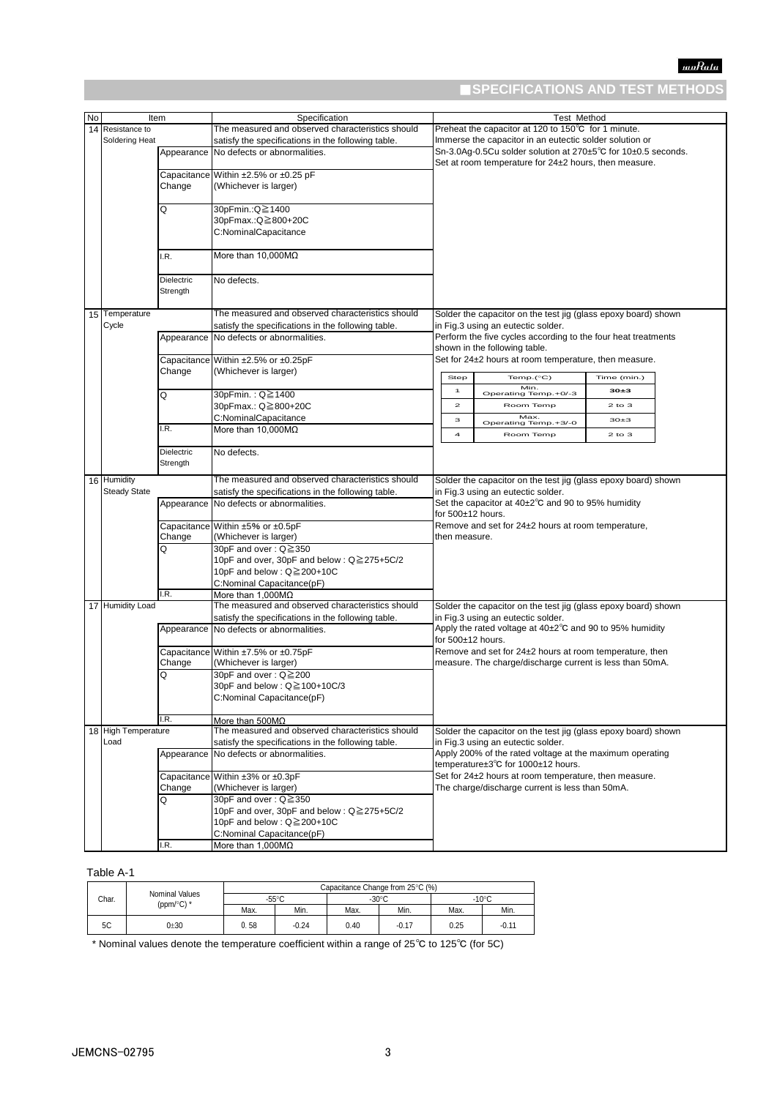# ■**SPECIFICATIONS AND TEST METHODS**

| No | Item                |                   | Specification                                      |                                                         |                                    | Test Method                                                         |             |  |  |
|----|---------------------|-------------------|----------------------------------------------------|---------------------------------------------------------|------------------------------------|---------------------------------------------------------------------|-------------|--|--|
|    | 14 Resistance to    |                   | The measured and observed characteristics should   |                                                         |                                    | Preheat the capacitor at 120 to 150°C for 1 minute.                 |             |  |  |
|    | Soldering Heat      |                   | satisfy the specifications in the following table. | Immerse the capacitor in an eutectic solder solution or |                                    |                                                                     |             |  |  |
|    |                     |                   |                                                    |                                                         |                                    | Sn-3.0Aq-0.5Cu solder solution at 270±5°C for 10±0.5 seconds.       |             |  |  |
|    |                     |                   | Appearance No defects or abnormalities.            |                                                         |                                    |                                                                     |             |  |  |
|    |                     |                   |                                                    | Set at room temperature for 24±2 hours, then measure.   |                                    |                                                                     |             |  |  |
|    |                     |                   | Capacitance Within ±2.5% or ±0.25 pF               |                                                         |                                    |                                                                     |             |  |  |
|    |                     | Change            | (Whichever is larger)                              |                                                         |                                    |                                                                     |             |  |  |
|    |                     |                   |                                                    |                                                         |                                    |                                                                     |             |  |  |
|    |                     | Q                 | 30pFmin.:Q≧1400                                    |                                                         |                                    |                                                                     |             |  |  |
|    |                     |                   |                                                    |                                                         |                                    |                                                                     |             |  |  |
|    |                     |                   | 30pFmax.:Q≧800+20C                                 |                                                         |                                    |                                                                     |             |  |  |
|    |                     |                   | C:NominalCapacitance                               |                                                         |                                    |                                                                     |             |  |  |
|    |                     |                   |                                                    |                                                         |                                    |                                                                     |             |  |  |
|    |                     | .R.               | More than 10.000M $\Omega$                         |                                                         |                                    |                                                                     |             |  |  |
|    |                     |                   |                                                    |                                                         |                                    |                                                                     |             |  |  |
|    |                     |                   |                                                    |                                                         |                                    |                                                                     |             |  |  |
|    |                     | <b>Dielectric</b> | No defects.                                        |                                                         |                                    |                                                                     |             |  |  |
|    |                     | Strength          |                                                    |                                                         |                                    |                                                                     |             |  |  |
|    |                     |                   |                                                    |                                                         |                                    |                                                                     |             |  |  |
|    | 15 Temperature      |                   | The measured and observed characteristics should   |                                                         |                                    | Solder the capacitor on the test jig (glass epoxy board) shown      |             |  |  |
|    |                     |                   |                                                    |                                                         |                                    |                                                                     |             |  |  |
|    | Cycle               |                   | satisfy the specifications in the following table. |                                                         |                                    | in Fig.3 using an eutectic solder.                                  |             |  |  |
|    |                     | Appearance        | No defects or abnormalities.                       |                                                         |                                    | Perform the five cycles according to the four heat treatments       |             |  |  |
|    |                     |                   |                                                    |                                                         |                                    | shown in the following table.                                       |             |  |  |
|    |                     |                   | Capacitance Within ±2.5% or ±0.25pF                |                                                         |                                    | Set for 24±2 hours at room temperature, then measure.               |             |  |  |
|    |                     | Change            |                                                    |                                                         |                                    |                                                                     |             |  |  |
|    |                     |                   | (Whichever is larger)                              |                                                         | Step                               | Temp.(°C)                                                           | Time (min.) |  |  |
|    |                     |                   |                                                    |                                                         |                                    | Min.                                                                |             |  |  |
|    |                     | Q                 | 30pFmin.: Q≧1400                                   |                                                         | 1                                  | Operating Temp.+0/-3                                                | $30 + 3$    |  |  |
|    |                     |                   | 30pFmax.: Q≧800+20C                                |                                                         | $\overline{\mathbf{z}}$            | Room Temp                                                           | $2$ to $3$  |  |  |
|    |                     |                   | C:NominalCapacitance                               |                                                         |                                    | Max.                                                                |             |  |  |
|    |                     |                   |                                                    |                                                         | з                                  | Operating Temp.+3/-0                                                | $30+3$      |  |  |
|    |                     | .R.               | More than $10,000M\Omega$                          |                                                         | 4                                  | Room Temp                                                           | $2$ to $3$  |  |  |
|    |                     |                   |                                                    |                                                         |                                    |                                                                     |             |  |  |
|    |                     | Dielectric        | No defects.                                        |                                                         |                                    |                                                                     |             |  |  |
|    |                     | Strength          |                                                    |                                                         |                                    |                                                                     |             |  |  |
|    |                     |                   |                                                    |                                                         |                                    |                                                                     |             |  |  |
|    | 16 Humidity         |                   | The measured and observed characteristics should   |                                                         |                                    | Solder the capacitor on the test jig (glass epoxy board) shown      |             |  |  |
|    | <b>Steady State</b> |                   | satisfy the specifications in the following table. |                                                         | in Fig.3 using an eutectic solder. |                                                                     |             |  |  |
|    |                     |                   | Appearance No defects or abnormalities.            |                                                         |                                    | Set the capacitor at $40\pm2^{\circ}$ C and 90 to 95% humidity      |             |  |  |
|    |                     |                   |                                                    |                                                         |                                    | for 500±12 hours.                                                   |             |  |  |
|    |                     |                   |                                                    |                                                         |                                    |                                                                     |             |  |  |
|    |                     |                   | Capacitance Within ±5% or ±0.5pF                   |                                                         |                                    | Remove and set for 24±2 hours at room temperature,                  |             |  |  |
|    |                     | Change            | (Whichever is larger)                              |                                                         | then measure.                      |                                                                     |             |  |  |
|    |                     | O                 | 30pF and over: $Q \ge 350$                         |                                                         |                                    |                                                                     |             |  |  |
|    |                     |                   | 10pF and over, 30pF and below : Q≧275+5C/2         |                                                         |                                    |                                                                     |             |  |  |
|    |                     |                   | 10pF and below : Q≧200+10C                         |                                                         |                                    |                                                                     |             |  |  |
|    |                     |                   |                                                    |                                                         |                                    |                                                                     |             |  |  |
|    |                     |                   | C:Nominal Capacitance(pF)                          |                                                         |                                    |                                                                     |             |  |  |
|    |                     | I.R.              | More than $1,000M\Omega$                           |                                                         |                                    |                                                                     |             |  |  |
|    | 17 Humidity Load    |                   | The measured and observed characteristics should   |                                                         |                                    | Solder the capacitor on the test jig (glass epoxy board) shown      |             |  |  |
|    |                     |                   | satisfy the specifications in the following table. |                                                         |                                    | in Fig.3 using an eutectic solder.                                  |             |  |  |
|    |                     |                   | Appearance No defects or abnormalities.            |                                                         |                                    | Apply the rated voltage at $40\pm2\degree$ C and 90 to 95% humidity |             |  |  |
|    |                     |                   |                                                    |                                                         |                                    | for $500±12$ hours.                                                 |             |  |  |
|    |                     |                   |                                                    |                                                         |                                    |                                                                     |             |  |  |
|    |                     |                   | Capacitance Within ±7.5% or ±0.75pF                |                                                         |                                    | Remove and set for 24±2 hours at room temperature, then             |             |  |  |
|    |                     | Change            | (Whichever is larger)                              |                                                         |                                    | measure. The charge/discharge current is less than 50mA.            |             |  |  |
|    |                     | Q                 | 30pF and over: Q≧200                               |                                                         |                                    |                                                                     |             |  |  |
|    |                     |                   | 30pF and below : Q≧100+10C/3                       |                                                         |                                    |                                                                     |             |  |  |
|    |                     |                   | C:Nominal Capacitance(pF)                          |                                                         |                                    |                                                                     |             |  |  |
|    |                     |                   |                                                    |                                                         |                                    |                                                                     |             |  |  |
|    |                     |                   |                                                    |                                                         |                                    |                                                                     |             |  |  |
|    |                     | I.R.              | More than 500MΩ                                    |                                                         |                                    |                                                                     |             |  |  |
|    | 18 High Temperature |                   | The measured and observed characteristics should   |                                                         |                                    | Solder the capacitor on the test jig (glass epoxy board) shown      |             |  |  |
|    | Load                |                   | satisfy the specifications in the following table. | in Fig.3 using an eutectic solder.                      |                                    |                                                                     |             |  |  |
|    |                     |                   | Appearance No defects or abnormalities.            |                                                         |                                    | Apply 200% of the rated voltage at the maximum operating            |             |  |  |
|    |                     |                   |                                                    |                                                         |                                    |                                                                     |             |  |  |
|    |                     |                   |                                                    |                                                         |                                    | temperature±3°C for 1000±12 hours.                                  |             |  |  |
|    |                     |                   | Capacitance Within ±3% or ±0.3pF                   |                                                         |                                    | Set for 24±2 hours at room temperature, then measure.               |             |  |  |
|    |                     | Change            | (Whichever is larger)                              |                                                         |                                    | The charge/discharge current is less than 50mA.                     |             |  |  |
|    |                     | Q                 | 30pF and over: Q≧350                               |                                                         |                                    |                                                                     |             |  |  |
|    |                     |                   |                                                    |                                                         |                                    |                                                                     |             |  |  |
|    |                     |                   | 10pF and over, 30pF and below : Q≧275+5C/2         |                                                         |                                    |                                                                     |             |  |  |
|    |                     |                   | 10pF and below : Q≧200+10C                         |                                                         |                                    |                                                                     |             |  |  |
|    |                     |                   | C:Nominal Capacitance(pF)                          |                                                         |                                    |                                                                     |             |  |  |
|    |                     | I.R.              | More than 1,000M $\Omega$                          |                                                         |                                    |                                                                     |             |  |  |
|    |                     |                   |                                                    |                                                         |                                    |                                                                     |             |  |  |

### Table A-1

| Char. | Nominal Values         |                                    |         |                 | Capacitance Change from 25°C (%) |      |         |
|-------|------------------------|------------------------------------|---------|-----------------|----------------------------------|------|---------|
|       | (ppm/ $\mathrm{C}$ ) * | $-55^{\circ}$ C<br>$-30^{\circ}$ C |         | $-10^{\circ}$ C |                                  |      |         |
|       |                        | Max.                               | Min.    | Max.            | Min.                             | Max. | Min.    |
| 5C    | $0 + 30$               | 0.58                               | $-0.24$ | 0.40            | $-0.17$                          | 0.25 | $-0.11$ |

\* Nominal values denote the temperature coefficient within a range of 25℃ to 125℃ (for 5C)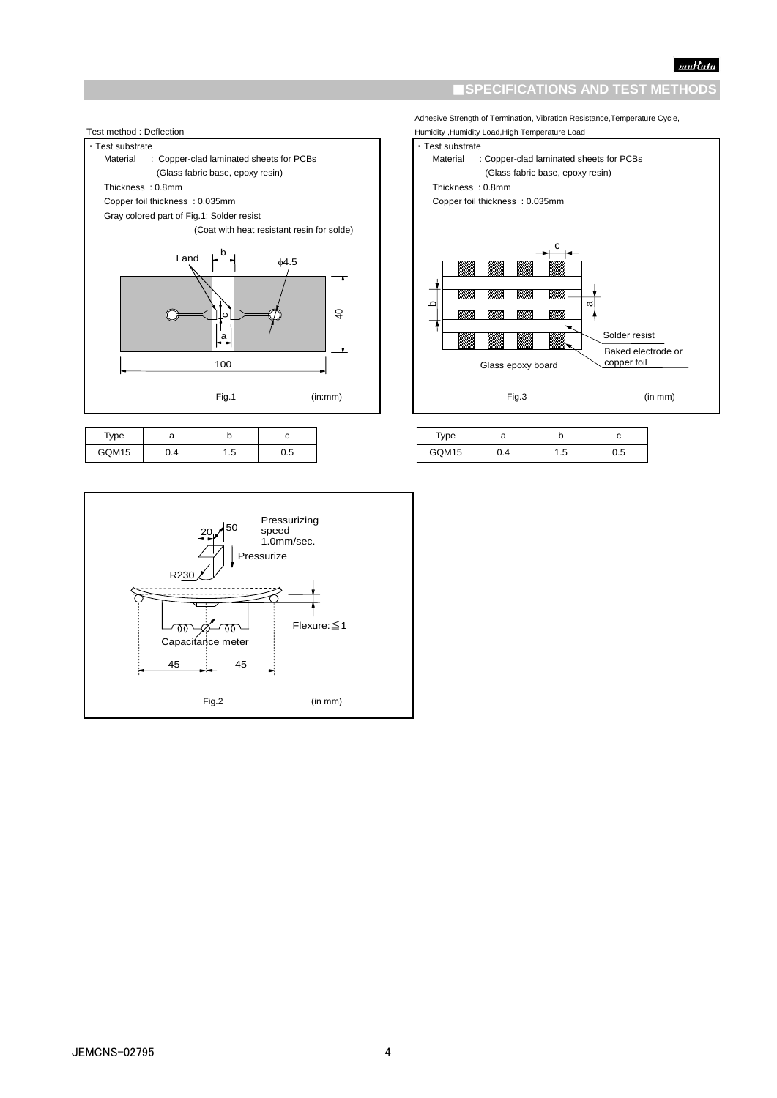$\vert$ 

### **ISPECIFICATIONS AND TEST METHODS**

Adhesive Strength of Termination, Vibration Resistance,Temperature Cycle,



| Type  |     |     |
|-------|-----|-----|
| GQM15 | 1.5 | ט.נ |



| туре  |     |  |
|-------|-----|--|
| GQM15 | د.، |  |

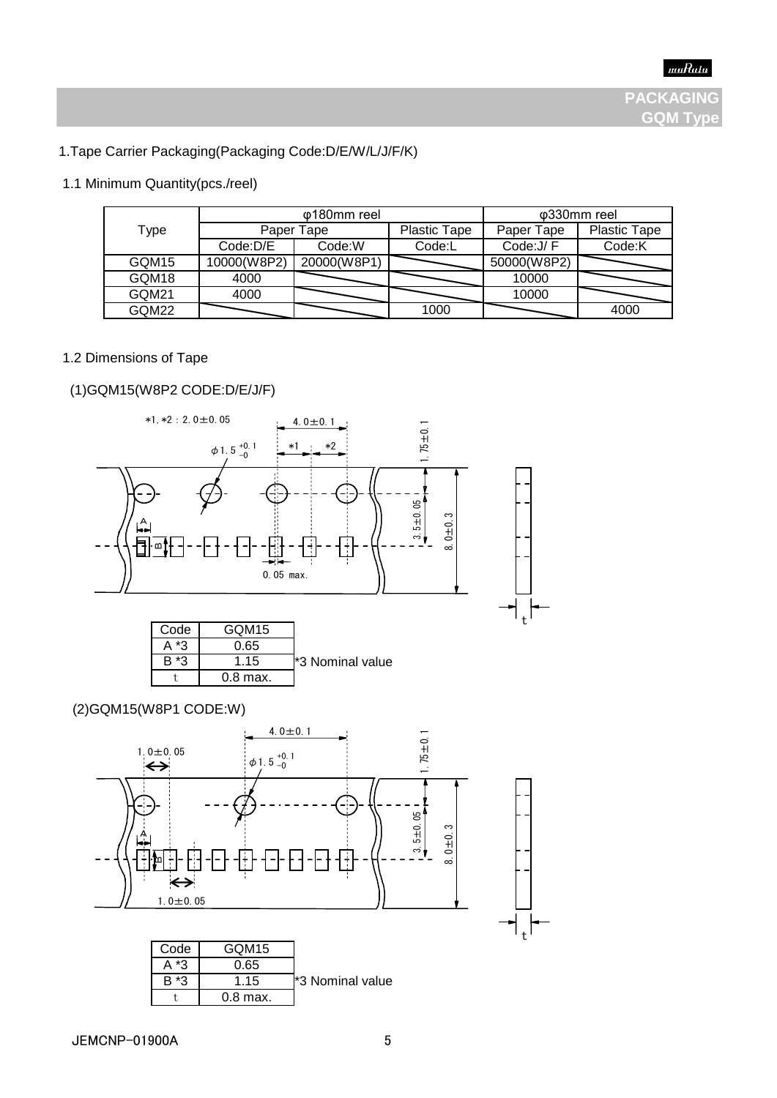# 1.Tape Carrier Packaging(Packaging Code:D/E/W/L/J/F/K)

# 1.1 Minimum Quantity(pcs./reel)

|       |             | φ180mm reel |                     |             | φ330mm reel         |
|-------|-------------|-------------|---------------------|-------------|---------------------|
| Type  |             | Paper Tape  | <b>Plastic Tape</b> | Paper Tape  | <b>Plastic Tape</b> |
|       | Code:D/E    | Code:W      | Code:L              | Code: J/F   | Code:K              |
| GQM15 | 10000(W8P2) | 20000(W8P1) |                     | 50000(W8P2) |                     |
| GQM18 | 4000        |             |                     | 10000       |                     |
| GQM21 | 4000        |             |                     | 10000       |                     |
| GQM22 |             |             | 1000                |             | 4000                |

### 1.2 Dimensions of Tape

# (1)GQM15(W8P2 CODE:D/E/J/F)

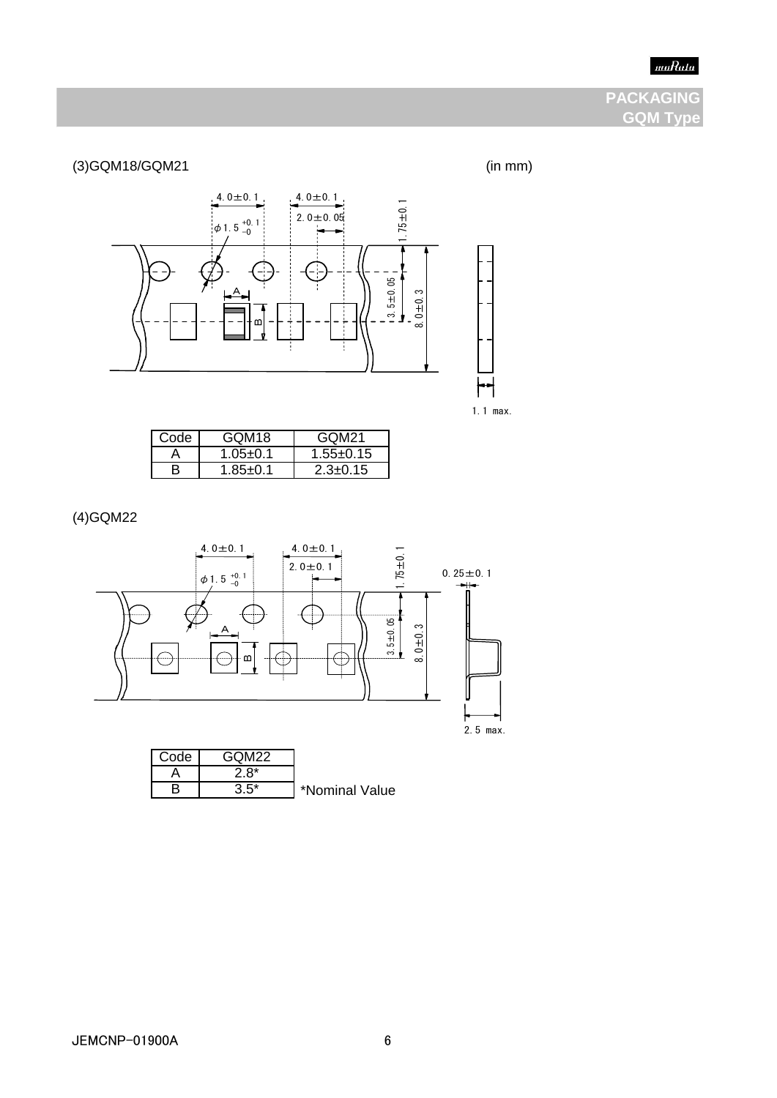# muRata

# **PACKAGING GQM Type**

(3)GQM18/GQM21 (in mm)





| Code | GOM <sub>18</sub> | GOM21         |
|------|-------------------|---------------|
|      | $1.05 + 0.1$      | $1.55 + 0.15$ |
|      | $185+0.1$         | $2.3 + 0.15$  |

(4)GQM22

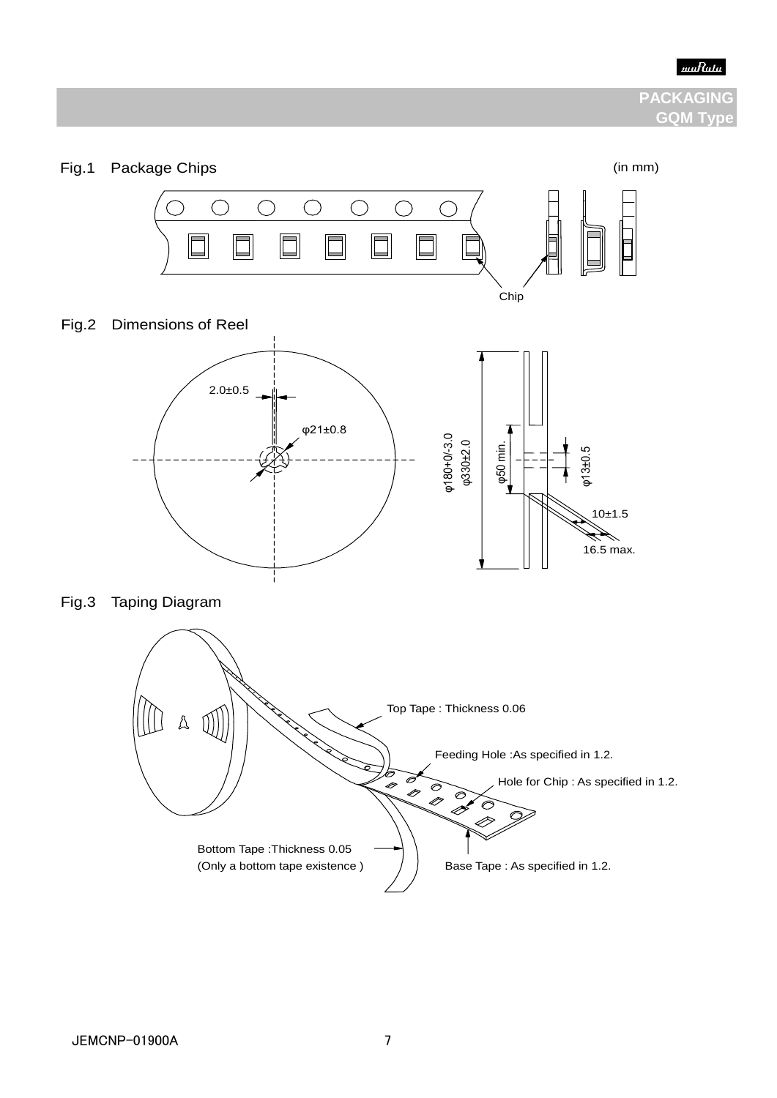

# **PACKAGING GQM Tvp**

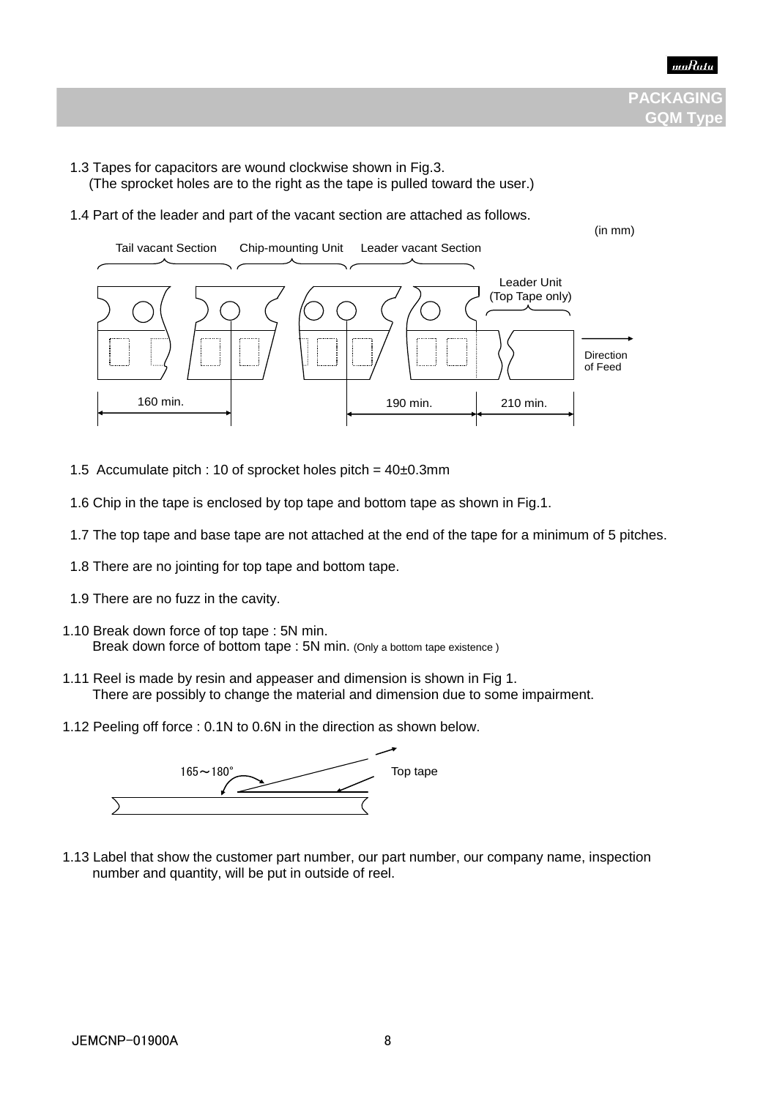

- 1.3 Tapes for capacitors are wound clockwise shown in Fig.3.
	- (The sprocket holes are to the right as the tape is pulled toward the user.)
- 1.4 Part of the leader and part of the vacant section are attached as follows.



- 1.5 Accumulate pitch : 10 of sprocket holes pitch =  $40\pm0.3$ mm
- 1.6 Chip in the tape is enclosed by top tape and bottom tape as shown in Fig.1.
- 1.7 The top tape and base tape are not attached at the end of the tape for a minimum of 5 pitches.
- 1.8 There are no jointing for top tape and bottom tape.
- 1.9 There are no fuzz in the cavity.
- 1.10 Break down force of top tape : 5N min. Break down force of bottom tape : 5N min. (Only a bottom tape existence)
	- 1.11 Reel is made by resin and appeaser and dimension is shown in Fig 1. There are possibly to change the material and dimension due to some impairment.
	- 1.12 Peeling off force : 0.1N to 0.6N in the direction as shown below.



 1.13 Label that show the customer part number, our part number, our company name, inspection number and quantity, will be put in outside of reel.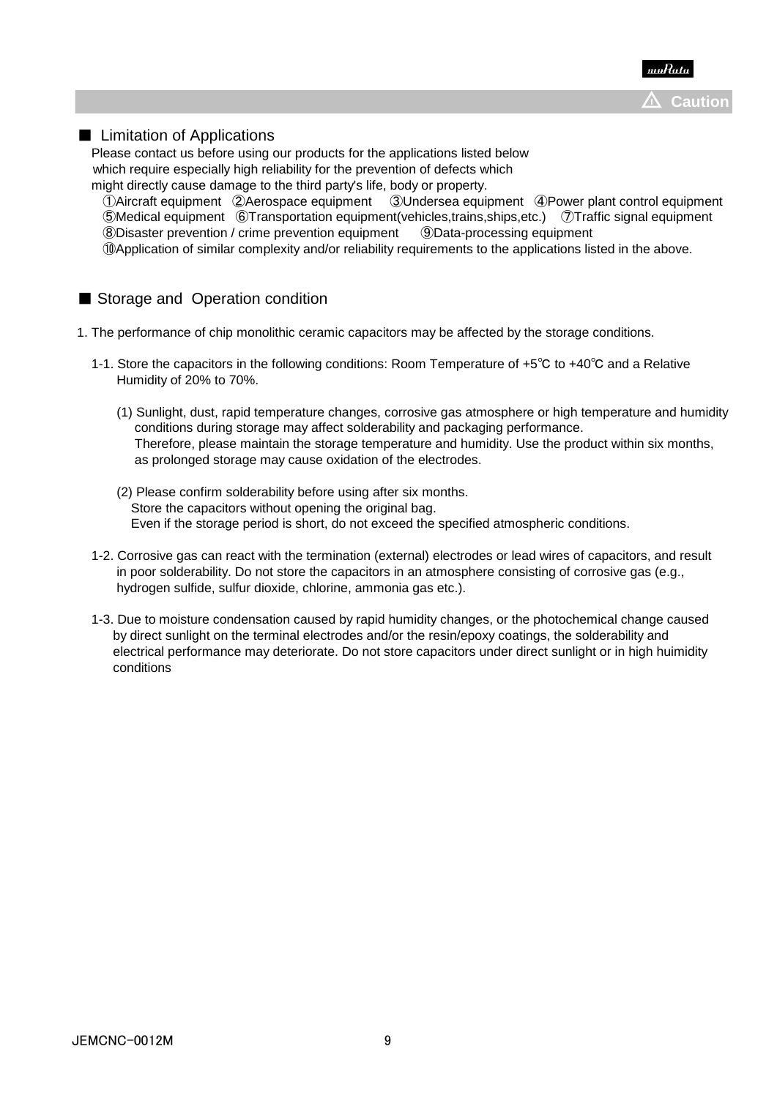

### ■ Limitation of Applications

 Please contact us before using our products for the applications listed below which require especially high reliability for the prevention of defects which

 might directly cause damage to the third party's life, body or property. ①Aircraft equipment ②Aerospace equipment ③Undersea equipment ④Power plant control equipment ⑤Medical equipment ⑥Transportation equipment(vehicles,trains,ships,etc.) ⑦Traffic signal equipment ⑧Disaster prevention / crime prevention equipment ⑨Data-processing equipment ⑩Application of similar complexity and/or reliability requirements to the applications listed in the above.

# ■ Storage and Operation condition

- 1. The performance of chip monolithic ceramic capacitors may be affected by the storage conditions.
	- 1-1. Store the capacitors in the following conditions: Room Temperature of +5℃ to +40℃ and a Relative Humidity of 20% to 70%.
		- (1) Sunlight, dust, rapid temperature changes, corrosive gas atmosphere or high temperature and humidity conditions during storage may affect solderability and packaging performance. Therefore, please maintain the storage temperature and humidity. Use the product within six months, as prolonged storage may cause oxidation of the electrodes.
		- (2) Please confirm solderability before using after six months. Store the capacitors without opening the original bag. Even if the storage period is short, do not exceed the specified atmospheric conditions.
	- 1-2. Corrosive gas can react with the termination (external) electrodes or lead wires of capacitors, and result in poor solderability. Do not store the capacitors in an atmosphere consisting of corrosive gas (e.g., hydrogen sulfide, sulfur dioxide, chlorine, ammonia gas etc.).
	- 1-3. Due to moisture condensation caused by rapid humidity changes, or the photochemical change caused by direct sunlight on the terminal electrodes and/or the resin/epoxy coatings, the solderability and electrical performance may deteriorate. Do not store capacitors under direct sunlight or in high huimidity conditions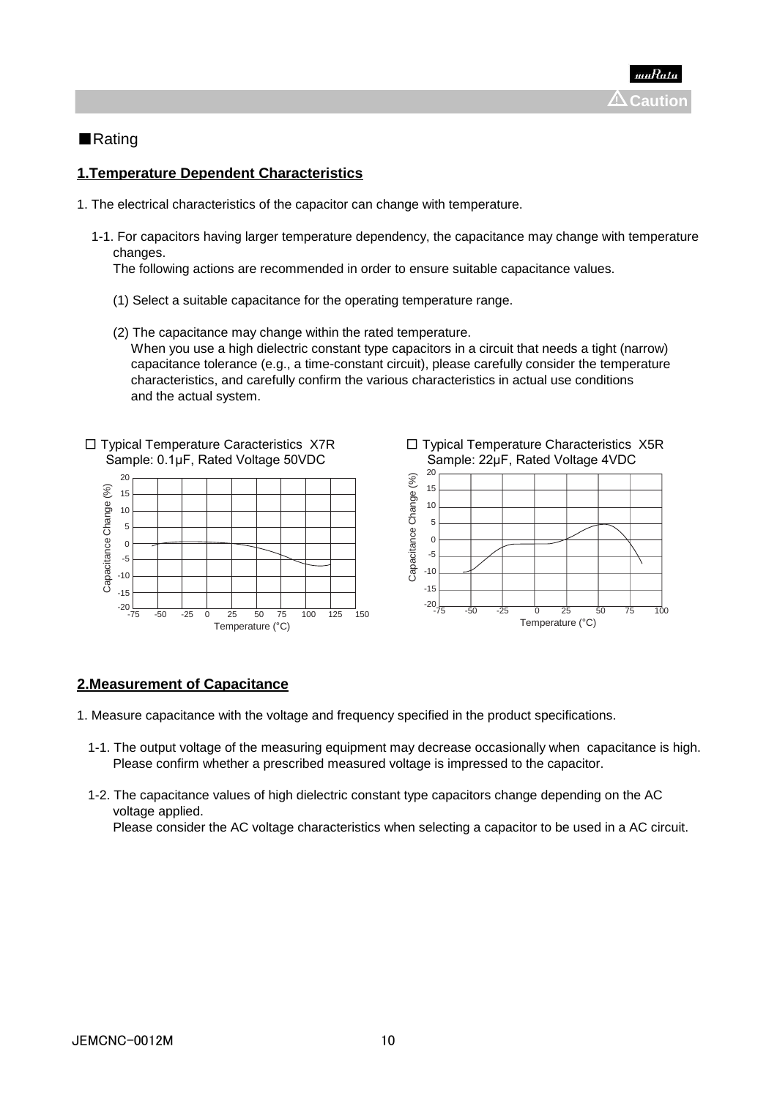# ■Rating

# **1.Temperature Dependent Characteristics**

- 1. The electrical characteristics of the capacitor can change with temperature.
	- 1-1. For capacitors having larger temperature dependency, the capacitance may change with temperature changes.

The following actions are recommended in order to ensure suitable capacitance values.

- (1) Select a suitable capacitance for the operating temperature range.
- (2) The capacitance may change within the rated temperature. When you use a high dielectric constant type capacitors in a circuit that needs a tight (narrow) capacitance tolerance (e.g., a time-constant circuit), please carefully consider the temperature characteristics, and carefully confirm the various characteristics in actual use conditions and the actual system.



# **2.Measurement of Capacitance**

- 1. Measure capacitance with the voltage and frequency specified in the product specifications.
	- 1-1. The output voltage of the measuring equipment may decrease occasionally when capacitance is high. Please confirm whether a prescribed measured voltage is impressed to the capacitor.
	- 1-2. The capacitance values of high dielectric constant type capacitors change depending on the AC voltage applied.

Please consider the AC voltage characteristics when selecting a capacitor to be used in a AC circuit.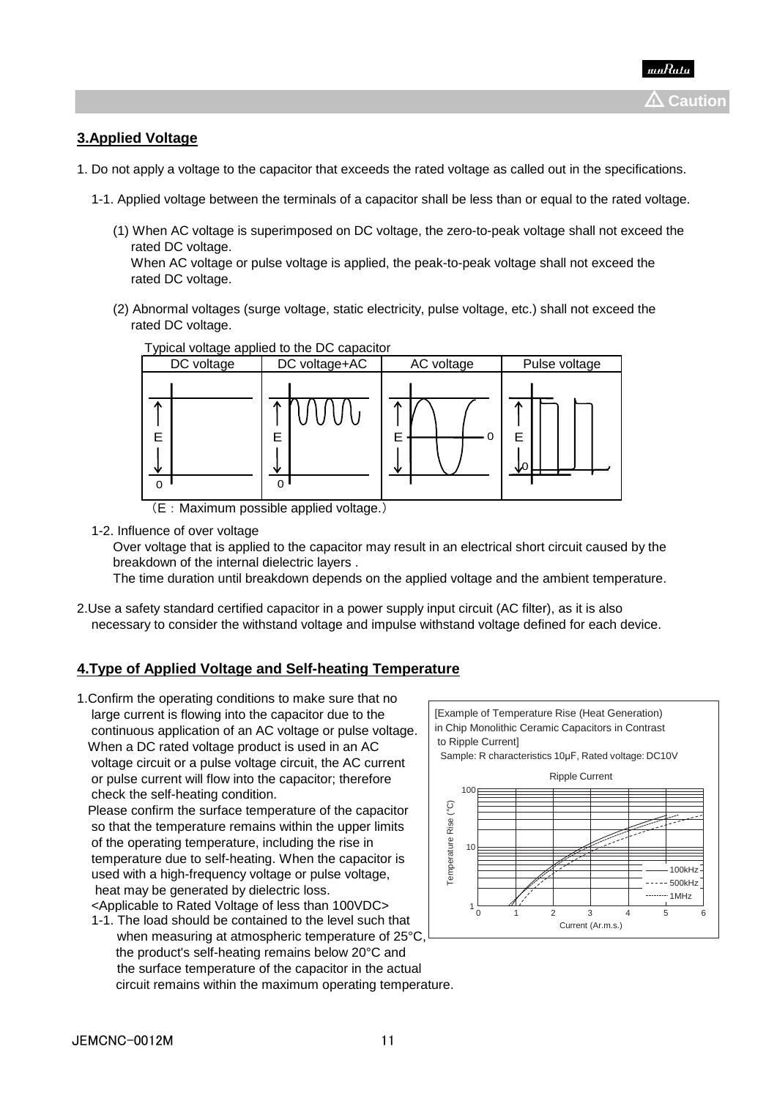# **3.Applied Voltage**

- 1. Do not apply a voltage to the capacitor that exceeds the rated voltage as called out in the specifications.
	- 1-1. Applied voltage between the terminals of a capacitor shall be less than or equal to the rated voltage.
		- (1) When AC voltage is superimposed on DC voltage, the zero-to-peak voltage shall not exceed the rated DC voltage.

 When AC voltage or pulse voltage is applied, the peak-to-peak voltage shall not exceed the rated DC voltage.

 (2) Abnormal voltages (surge voltage, static electricity, pulse voltage, etc.) shall not exceed the rated DC voltage.



Typical voltage applied to the DC capacitor

(E:Maximum possible applied voltage.)

1-2. Influence of over voltage

 Over voltage that is applied to the capacitor may result in an electrical short circuit caused by the breakdown of the internal dielectric layers .

The time duration until breakdown depends on the applied voltage and the ambient temperature.

2.Use a safety standard certified capacitor in a power supply input circuit (AC filter), as it is also necessary to consider the withstand voltage and impulse withstand voltage defined for each device.

# **4.Type of Applied Voltage and Self-heating Temperature**

1.Confirm the operating conditions to make sure that no large current is flowing into the capacitor due to the continuous application of an AC voltage or pulse voltage. When a DC rated voltage product is used in an AC voltage circuit or a pulse voltage circuit, the AC current or pulse current will flow into the capacitor; therefore check the self-heating condition.

 Please confirm the surface temperature of the capacitor so that the temperature remains within the upper limits of the operating temperature, including the rise in temperature due to self-heating. When the capacitor is used with a high-frequency voltage or pulse voltage, heat may be generated by dielectric loss. <Applicable to Rated Voltage of less than 100VDC>

 1-1. The load should be contained to the level such that when measuring at atmospheric temperature of 25°C. the product's self-heating remains below 20°C and the surface temperature of the capacitor in the actual circuit remains within the maximum operating temperature.

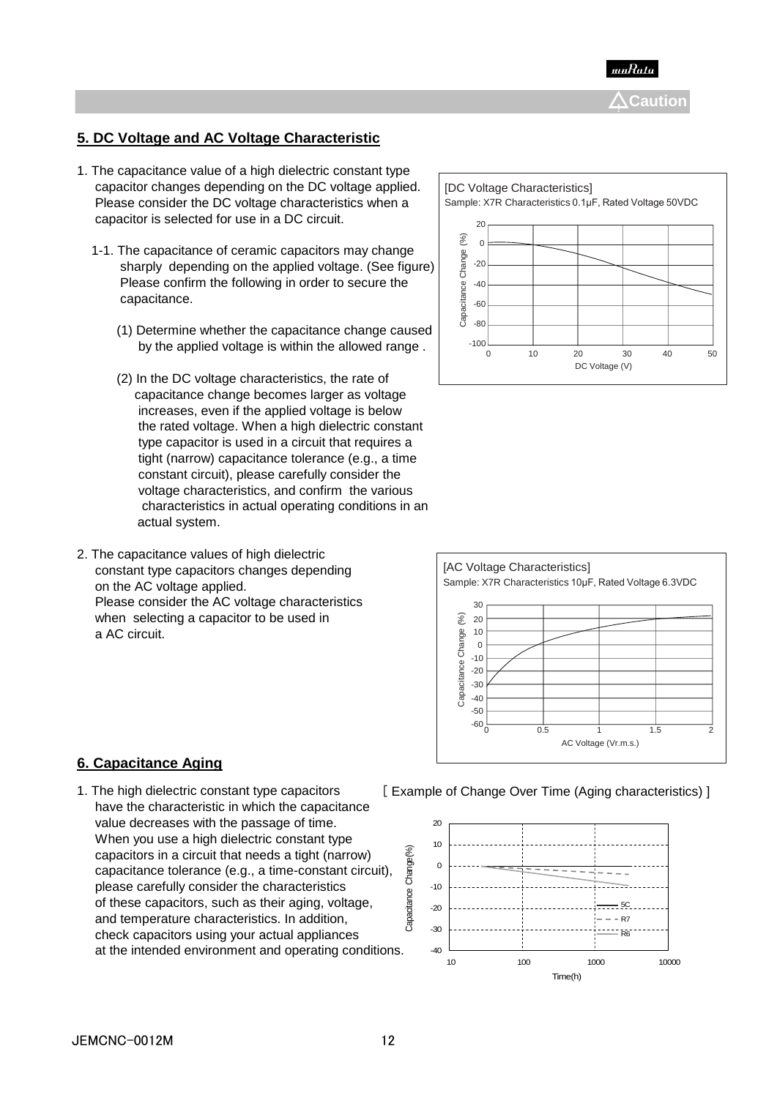

# **5. DC Voltage and AC Voltage Characteristic**

- 1. The capacitance value of a high dielectric constant type capacitor changes depending on the DC voltage applied. Please consider the DC voltage characteristics when a capacitor is selected for use in a DC circuit.
	- 1-1. The capacitance of ceramic capacitors may change sharply depending on the applied voltage. (See figure) Please confirm the following in order to secure the capacitance.
		- (1) Determine whether the capacitance change caused by the applied voltage is within the allowed range .
		- (2) In the DC voltage characteristics, the rate of capacitance change becomes larger as voltage increases, even if the applied voltage is below the rated voltage. When a high dielectric constant type capacitor is used in a circuit that requires a tight (narrow) capacitance tolerance (e.g., a time constant circuit), please carefully consider the voltage characteristics, and confirm the various characteristics in actual operating conditions in an actual system.
- 2. The capacitance values of high dielectric constant type capacitors changes depending on the AC voltage applied. Please consider the AC voltage characteristics when selecting a capacitor to be used in a AC circuit.





### **6. Capacitance Aging**

1. The high dielectric constant type capacitors [ Example of Change Over Time (Aging characteristics) ] have the characteristic in which the capacitance value decreases with the passage of time. When you use a high dielectric constant type capacitors in a circuit that needs a tight (narrow) capacitance tolerance (e.g., a time-constant circuit), please carefully consider the characteristics of these capacitors, such as their aging, voltage, and temperature characteristics. In addition, check capacitors using your actual appliances at the intended environment and operating conditions.

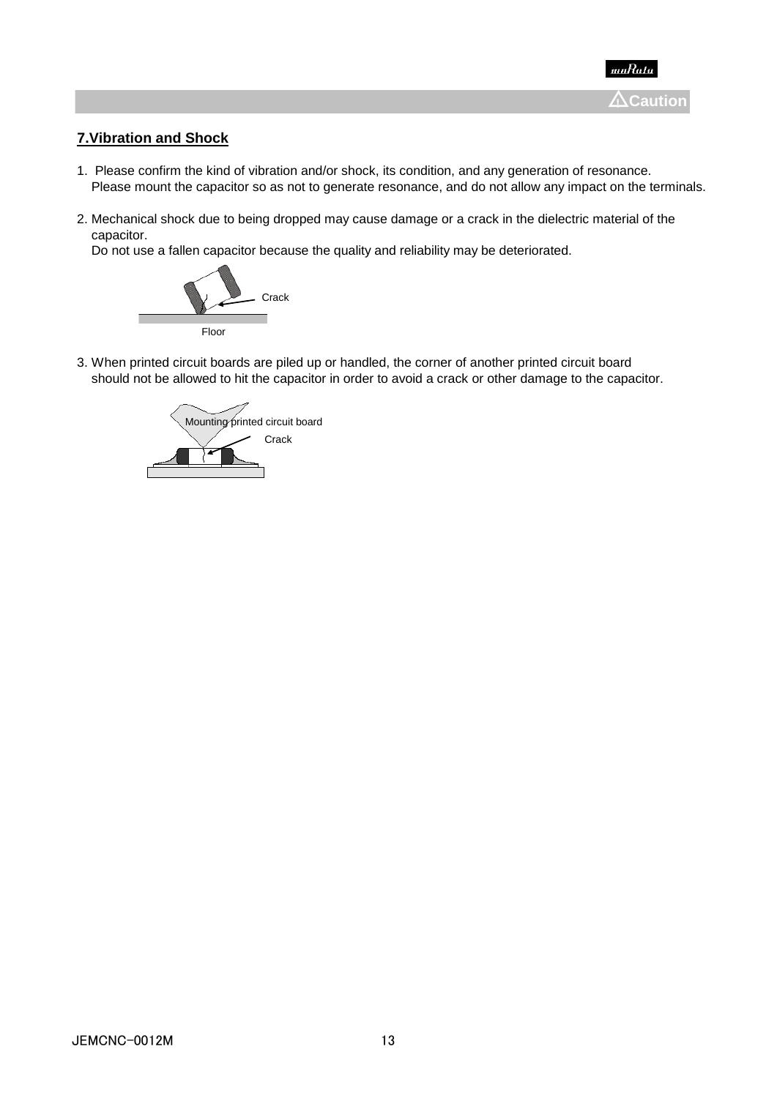

# **7.Vibration and Shock**

- 1. Please confirm the kind of vibration and/or shock, its condition, and any generation of resonance. Please mount the capacitor so as not to generate resonance, and do not allow any impact on the terminals.
- 2. Mechanical shock due to being dropped may cause damage or a crack in the dielectric material of the capacitor.

Do not use a fallen capacitor because the quality and reliability may be deteriorated.



3. When printed circuit boards are piled up or handled, the corner of another printed circuit board should not be allowed to hit the capacitor in order to avoid a crack or other damage to the capacitor.

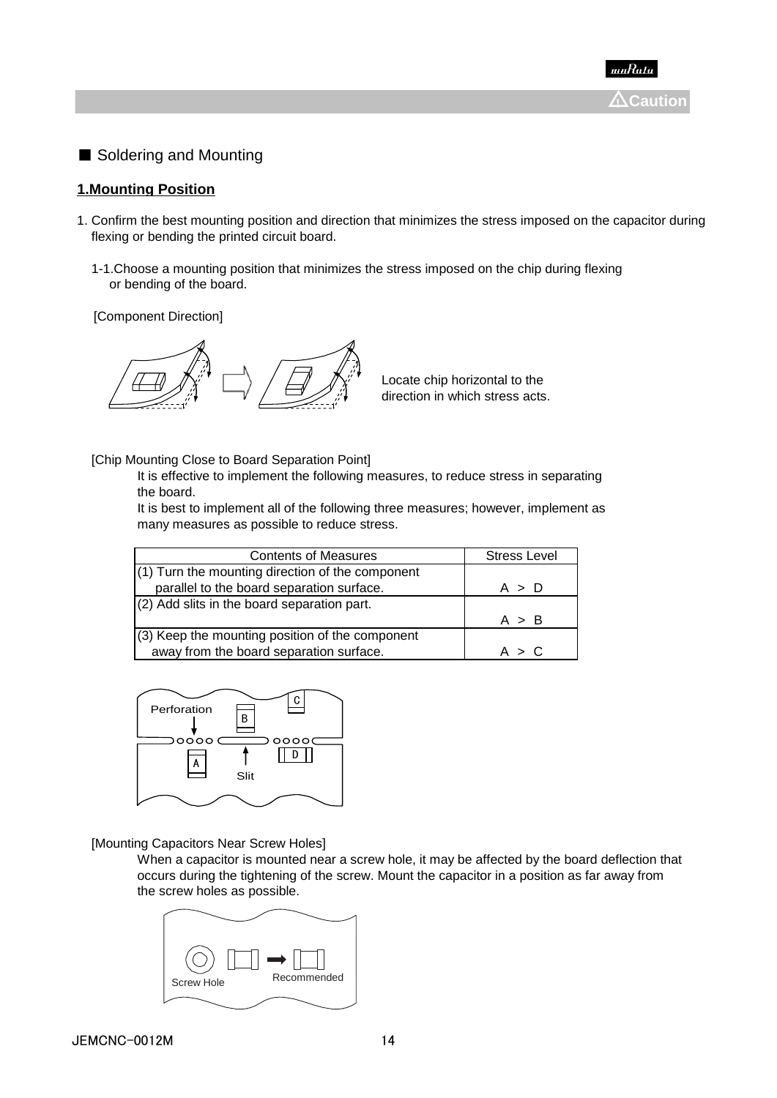■ Soldering and Mounting

# **1.Mounting Position**

- 1. Confirm the best mounting position and direction that minimizes the stress imposed on the capacitor during flexing or bending the printed circuit board.
	- 1-1.Choose a mounting position that minimizes the stress imposed on the chip during flexing or bending of the board.

[Component Direction]



Locate chip horizontal to the direction in which stress acts.

### [Chip Mounting Close to Board Separation Point]

It is effective to implement the following measures, to reduce stress in separating the board.

It is best to implement all of the following three measures; however, implement as many measures as possible to reduce stress.

| <b>Contents of Measures</b>                        | <b>Stress Level</b> |
|----------------------------------------------------|---------------------|
| $(1)$ Turn the mounting direction of the component |                     |
| parallel to the board separation surface.          | A > D               |
| $(2)$ Add slits in the board separation part.      |                     |
|                                                    | A > B               |
| (3) Keep the mounting position of the component    |                     |
| away from the board separation surface.            | A > C               |



[Mounting Capacitors Near Screw Holes]

When a capacitor is mounted near a screw hole, it may be affected by the board deflection that occurs during the tightening of the screw. Mount the capacitor in a position as far away from the screw holes as possible.

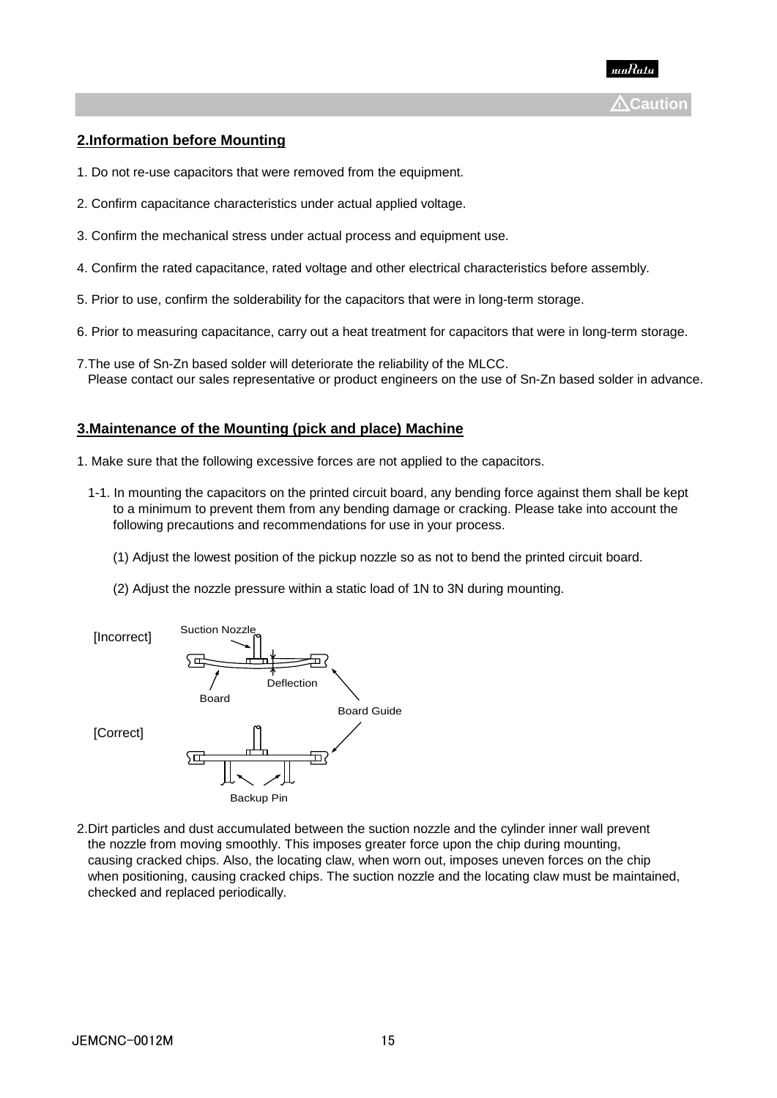

# **2.Information before Mounting**

- 1. Do not re-use capacitors that were removed from the equipment.
- 2. Confirm capacitance characteristics under actual applied voltage.
- 3. Confirm the mechanical stress under actual process and equipment use.
- 4. Confirm the rated capacitance, rated voltage and other electrical characteristics before assembly.
- 5. Prior to use, confirm the solderability for the capacitors that were in long-term storage.
- 6. Prior to measuring capacitance, carry out a heat treatment for capacitors that were in long-term storage.
- 7.The use of Sn-Zn based solder will deteriorate the reliability of the MLCC. Please contact our sales representative or product engineers on the use of Sn-Zn based solder in advance.

### **3.Maintenance of the Mounting (pick and place) Machine**

- 1. Make sure that the following excessive forces are not applied to the capacitors.
	- 1-1. In mounting the capacitors on the printed circuit board, any bending force against them shall be kept to a minimum to prevent them from any bending damage or cracking. Please take into account the following precautions and recommendations for use in your process.
		- (1) Adjust the lowest position of the pickup nozzle so as not to bend the printed circuit board.
		- (2) Adjust the nozzle pressure within a static load of 1N to 3N during mounting.



2.Dirt particles and dust accumulated between the suction nozzle and the cylinder inner wall prevent the nozzle from moving smoothly. This imposes greater force upon the chip during mounting, causing cracked chips. Also, the locating claw, when worn out, imposes uneven forces on the chip when positioning, causing cracked chips. The suction nozzle and the locating claw must be maintained, checked and replaced periodically.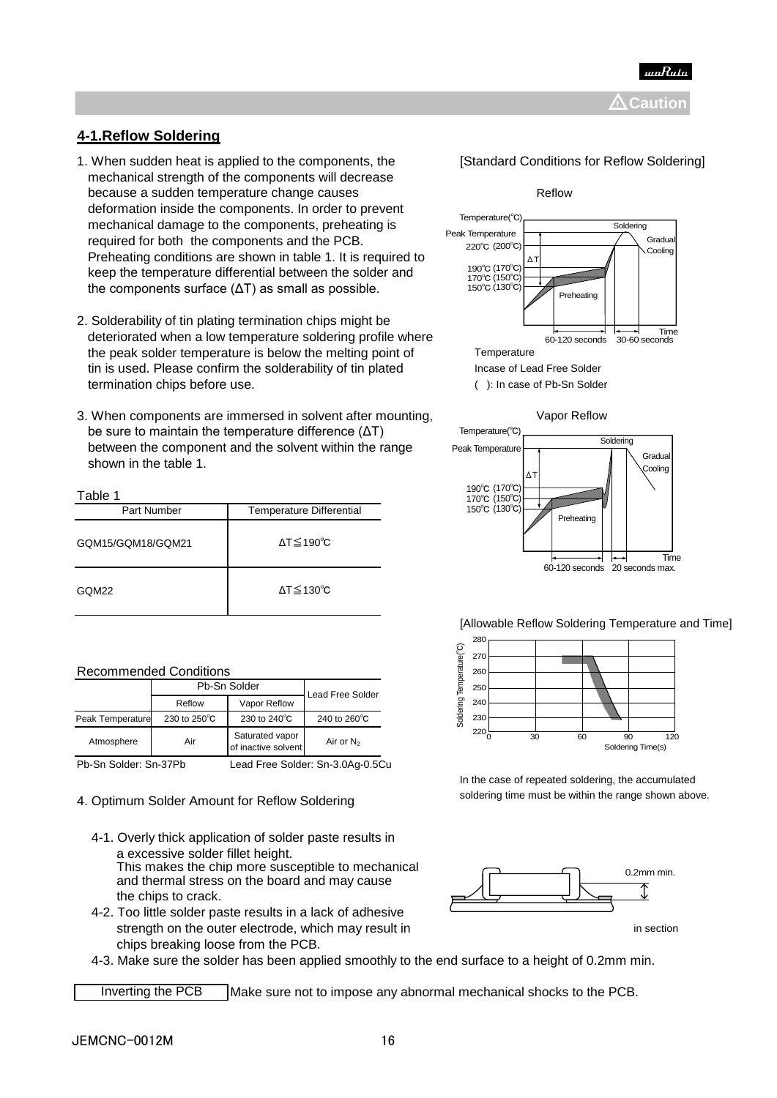

# **4-1.Reflow Soldering**

- 1. When sudden heat is applied to the components, the [Standard Conditions for Reflow Soldering] mechanical strength of the components will decrease because a sudden temperature change causes **Reflow** Reflow deformation inside the components. In order to prevent mechanical damage to the components, preheating is required for both the components and the PCB. Preheating conditions are shown in table 1. It is required to keep the temperature differential between the solder and the components surface  $(\Delta T)$  as small as possible.
- 2. Solderability of tin plating termination chips might be deteriorated when a low temperature soldering profile where the peak solder temperature is below the melting point of Temperature tin is used. Please confirm the solderability of tin plated Incase of Lead Free Solder termination chips before use. ( ): In case of Pb-Sn Solder
- 3. When components are immersed in solvent after mounting, variance vapor Reflow be sure to maintain the temperature difference (ΔT) between the component and the solvent within the range shown in the table 1.

| Table 1           |                                 |  |  |  |  |
|-------------------|---------------------------------|--|--|--|--|
| Part Number       | <b>Temperature Differential</b> |  |  |  |  |
| GQM15/GQM18/GQM21 | $\Delta T \leq 190^{\circ}C$    |  |  |  |  |
| GQM22             | $\Delta T \leq 130^{\circ}C$    |  |  |  |  |

### Recommended Conditions

|                  | Pb-Sn Solder | <b>Lead Free Solder</b>                |                        |
|------------------|--------------|----------------------------------------|------------------------|
|                  | Reflow       | Vapor Reflow                           |                        |
| Peak Temperature | 230 to 250°C | 230 to 240°C                           | 240 to $260^{\circ}$ C |
| Atmosphere       | Air          | Saturated vapor<br>of inactive solvent | Air or $N_2$           |

Pb-Sn Solder: Sn-37Pb Lead Free Solder: Sn-3.0Ag-0.5Cu

# 4. Optimum Solder Amount for Reflow Soldering soldering soldering time must be within the range shown above.

- 4-1. Overly thick application of solder paste results in a excessive solder fillet height. This makes the chip more susceptible to mechanical and thermal stress on the board and may cause the chips to crack.
- 4-2. Too little solder paste results in a lack of adhesive strength on the outer electrode, which may result in in section in section chips breaking loose from the PCB.







### [Allowable Reflow Soldering Temperature and Time]



In the case of repeated soldering, the accumulated



4-3. Make sure the solder has been applied smoothly to the end surface to a height of 0.2mm min.

Inverting the PCB Make sure not to impose any abnormal mechanical shocks to the PCB.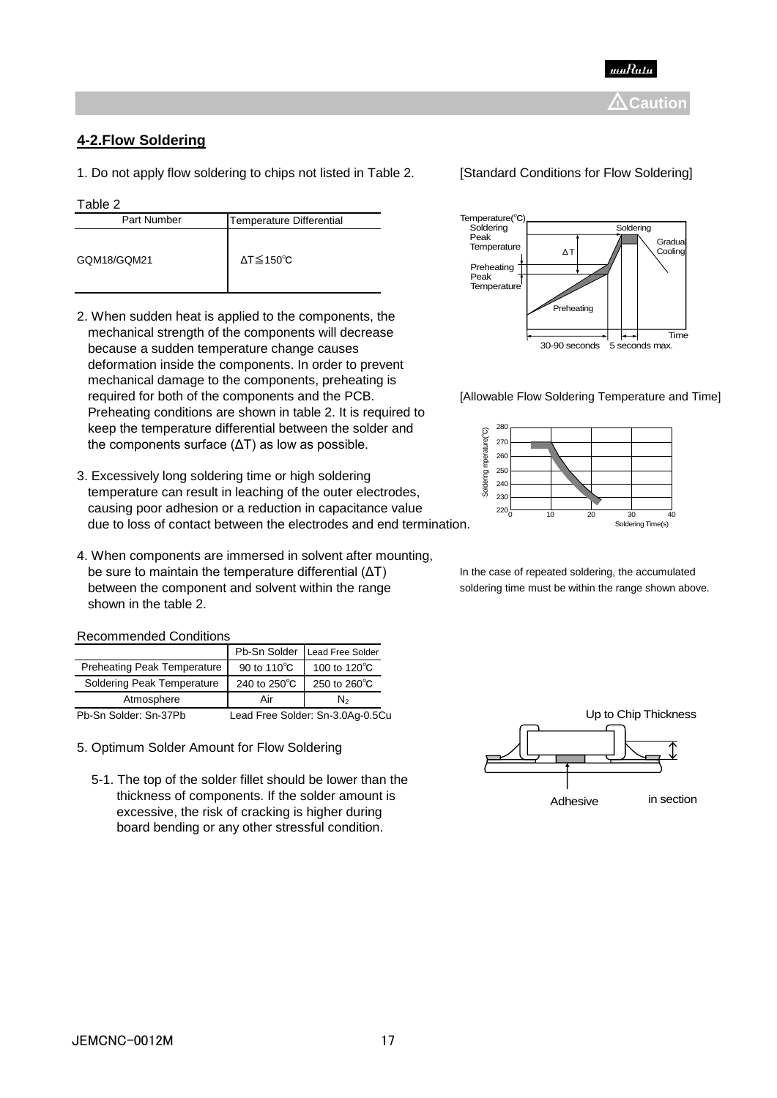

# **4-2.Flow Soldering**

1. Do not apply flow soldering to chips not listed in Table 2. [Standard Conditions for Flow Soldering]

### Table 2

| Part Number | Temperature Differential     |
|-------------|------------------------------|
| GQM18/GQM21 | $\Delta T \leq 150^{\circ}C$ |

- 2. When sudden heat is applied to the components, the mechanical strength of the components will decrease because a sudden temperature change causes deformation inside the components. In order to prevent mechanical damage to the components, preheating is required for both of the components and the PCB. [Allowable Flow Soldering Temperature and Time] Preheating conditions are shown in table 2. It is required to keep the temperature differential between the solder and the components surface (ΔT) as low as possible.
- 3. Excessively long soldering time or high soldering temperature can result in leaching of the outer electrodes, causing poor adhesion or a reduction in capacitance value due to loss of contact between the electrodes and end termination.
- 4. When components are immersed in solvent after mounting, be sure to maintain the temperature differential (ΔT) In the case of repeated soldering, the accumulated between the component and solvent within the range soldering time must be within the range shown above. shown in the table 2.

# Recommended Conditions

|                                    |              | Pb-Sn Solder Lead Free Solder    |
|------------------------------------|--------------|----------------------------------|
| <b>Preheating Peak Temperature</b> | 90 to 110°C  | 100 to 120°C                     |
| Soldering Peak Temperature         | 240 to 250°C | 250 to 260°C                     |
| Atmosphere                         | Air          | N <sub>2</sub>                   |
| Pb-Sn Solder: Sn-37Pb              |              | Lead Free Solder: Sn-3.0Ag-0.5Cu |

- 5. Optimum Solder Amount for Flow Soldering
	- 5-1. The top of the solder fillet should be lower than the thickness of components. If the solder amount is excessive, the risk of cracking is higher during board bending or any other stressful condition.





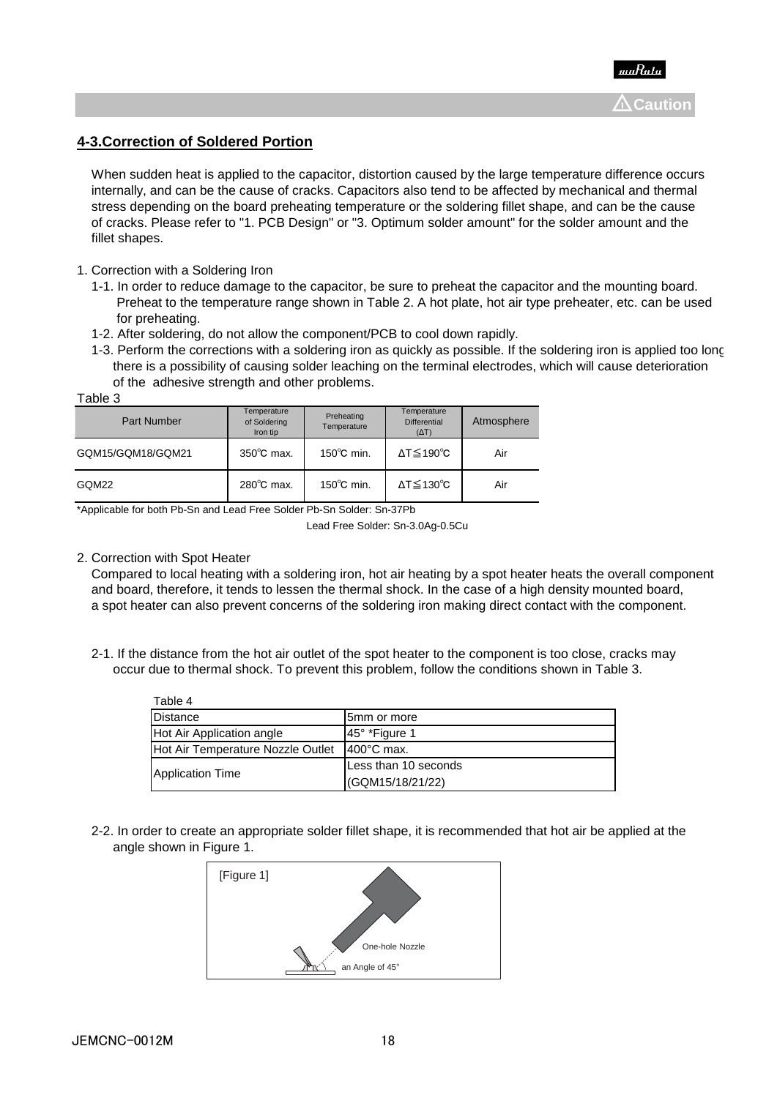

# **4-3.Correction of Soldered Portion**

 When sudden heat is applied to the capacitor, distortion caused by the large temperature difference occurs internally, and can be the cause of cracks. Capacitors also tend to be affected by mechanical and thermal stress depending on the board preheating temperature or the soldering fillet shape, and can be the cause of cracks. Please refer to "1. PCB Design" or "3. Optimum solder amount" for the solder amount and the fillet shapes.

- 1. Correction with a Soldering Iron
	- 1-1. In order to reduce damage to the capacitor, be sure to preheat the capacitor and the mounting board. Preheat to the temperature range shown in Table 2. A hot plate, hot air type preheater, etc. can be used for preheating.
	- 1-2. After soldering, do not allow the component/PCB to cool down rapidly.
- 1-3. Perform the corrections with a soldering iron as quickly as possible. If the soldering iron is applied too long, there is a possibility of causing solder leaching on the terminal electrodes, which will cause deterioration of the adhesive strength and other problems. Table 3

| ט שושטו           |                                         |                           |                                                    |            |
|-------------------|-----------------------------------------|---------------------------|----------------------------------------------------|------------|
| Part Number       | Temperature<br>of Soldering<br>Iron tip | Preheating<br>Temperature | Temperature<br><b>Differential</b><br>$(\Delta T)$ | Atmosphere |
| GQM15/GQM18/GQM21 | $350^{\circ}$ C max.                    | $150^{\circ}$ C min.      | ΔT≦190℃                                            | Air        |
| GQM22             | $280^{\circ}$ C max.                    | $150^{\circ}$ C min.      | ΔT≦130℃                                            | Air        |

\*Applicable for both Pb-Sn and Lead Free Solder.Pb-Sn Solder: Sn-37Pb

### 2. Correction with Spot Heater

 $\pm$   $\pm$   $\pm$ 

 Compared to local heating with a soldering iron, hot air heating by a spot heater heats the overall component and board, therefore, it tends to lessen the thermal shock. In the case of a high density mounted board, a spot heater can also prevent concerns of the soldering iron making direct contact with the component.

 2-1. If the distance from the hot air outlet of the spot heater to the component is too close, cracks may occur due to thermal shock. To prevent this problem, follow the conditions shown in Table 3.

| Table 4                           |                      |
|-----------------------------------|----------------------|
| Distance                          | 5mm or more          |
| Hot Air Application angle         | 45° *Figure 1        |
| Hot Air Temperature Nozzle Outlet | $400^{\circ}$ C max. |
|                                   | Less than 10 seconds |
| Application Time                  | (GQM15/18/21/22)     |

 2-2. In order to create an appropriate solder fillet shape, it is recommended that hot air be applied at the angle shown in Figure 1.



Lead Free Solder: Sn-3.0Ag-0.5Cu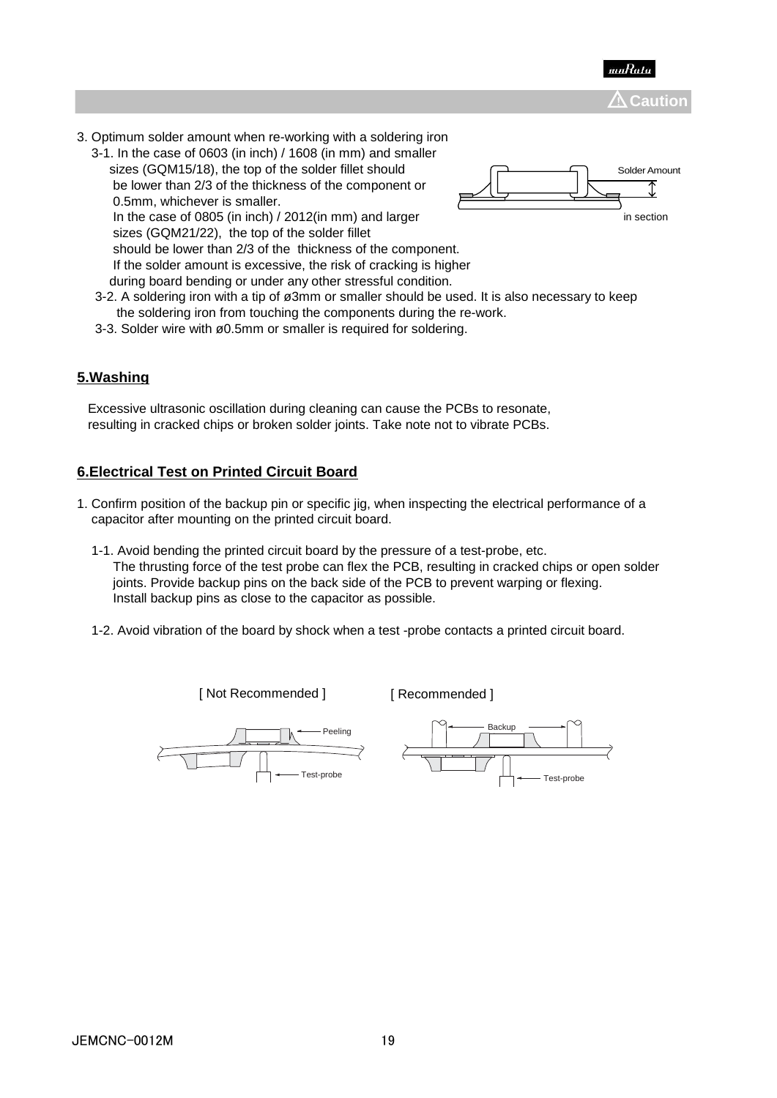



- 3. Optimum solder amount when re-working with a soldering iron
	- 3-1. In the case of 0603 (in inch) / 1608 (in mm) and smaller sizes (GQM15/18), the top of the solder fillet should be lower than 2/3 of the thickness of the component or 0.5mm, whichever is smaller.



In the case of 0805 (in inch) / 2012(in mm) and larger in section in section sizes (GQM21/22), the top of the solder fillet should be lower than 2/3 of the thickness of the component. If the solder amount is excessive, the risk of cracking is higher during board bending or under any other stressful condition.

- 3-2. A soldering iron with a tip of ø3mm or smaller should be used. It is also necessary to keep the soldering iron from touching the components during the re-work.
- 3-3. Solder wire with ø0.5mm or smaller is required for soldering.

# **5.Washing**

 Excessive ultrasonic oscillation during cleaning can cause the PCBs to resonate, resulting in cracked chips or broken solder joints. Take note not to vibrate PCBs.

# **6.Electrical Test on Printed Circuit Board**

- 1. Confirm position of the backup pin or specific jig, when inspecting the electrical performance of a capacitor after mounting on the printed circuit board.
	- 1-1. Avoid bending the printed circuit board by the pressure of a test-probe, etc. The thrusting force of the test probe can flex the PCB, resulting in cracked chips or open solder joints. Provide backup pins on the back side of the PCB to prevent warping or flexing. Install backup pins as close to the capacitor as possible.
	- 1-2. Avoid vibration of the board by shock when a test -probe contacts a printed circuit board.

[ Not Recommended ]

[ Recommended ]



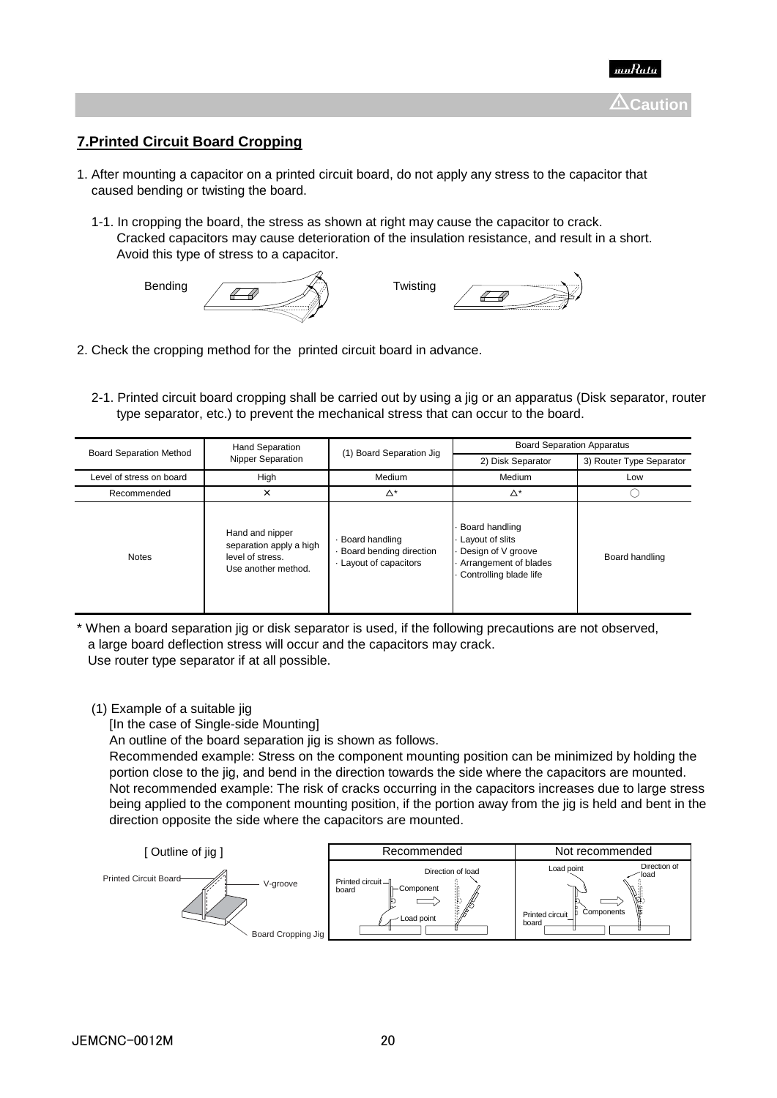

# **7.Printed Circuit Board Cropping**

- 1. After mounting a capacitor on a printed circuit board, do not apply any stress to the capacitor that caused bending or twisting the board.
	- 1-1. In cropping the board, the stress as shown at right may cause the capacitor to crack. Cracked capacitors may cause deterioration of the insulation resistance, and result in a short. Avoid this type of stress to a capacitor.



- 2. Check the cropping method for the printed circuit board in advance.
	- 2-1. Printed circuit board cropping shall be carried out by using a jig or an apparatus (Disk separator, router type separator, etc.) to prevent the mechanical stress that can occur to the board.

| <b>Board Separation Method</b> | <b>Hand Separation</b>                                                                | (1) Board Separation Jig                                          | <b>Board Separation Apparatus</b>                                                                          |                          |
|--------------------------------|---------------------------------------------------------------------------------------|-------------------------------------------------------------------|------------------------------------------------------------------------------------------------------------|--------------------------|
|                                | <b>Nipper Separation</b>                                                              |                                                                   | 2) Disk Separator                                                                                          | 3) Router Type Separator |
| Level of stress on board       | High                                                                                  | Medium                                                            | Medium                                                                                                     | Low                      |
| Recommended                    | ×                                                                                     | $\Delta^*$                                                        | $\Delta^*$                                                                                                 |                          |
| <b>Notes</b>                   | Hand and nipper<br>separation apply a high<br>level of stress.<br>Use another method. | Board handling<br>Board bending direction<br>Layout of capacitors | Board handling<br>Layout of slits<br>Design of V groove<br>Arrangement of blades<br>Controlling blade life | Board handling           |

When a board separation jig or disk separator is used, if the following precautions are not observed, a large board deflection stress will occur and the capacitors may crack. Use router type separator if at all possible.

### (1) Example of a suitable jig

[In the case of Single-side Mounting]

An outline of the board separation jig is shown as follows.

 Recommended example: Stress on the component mounting position can be minimized by holding the portion close to the jig, and bend in the direction towards the side where the capacitors are mounted. Not recommended example: The risk of cracks occurring in the capacitors increases due to large stress being applied to the component mounting position, if the portion away from the jig is held and bent in the direction opposite the side where the capacitors are mounted.

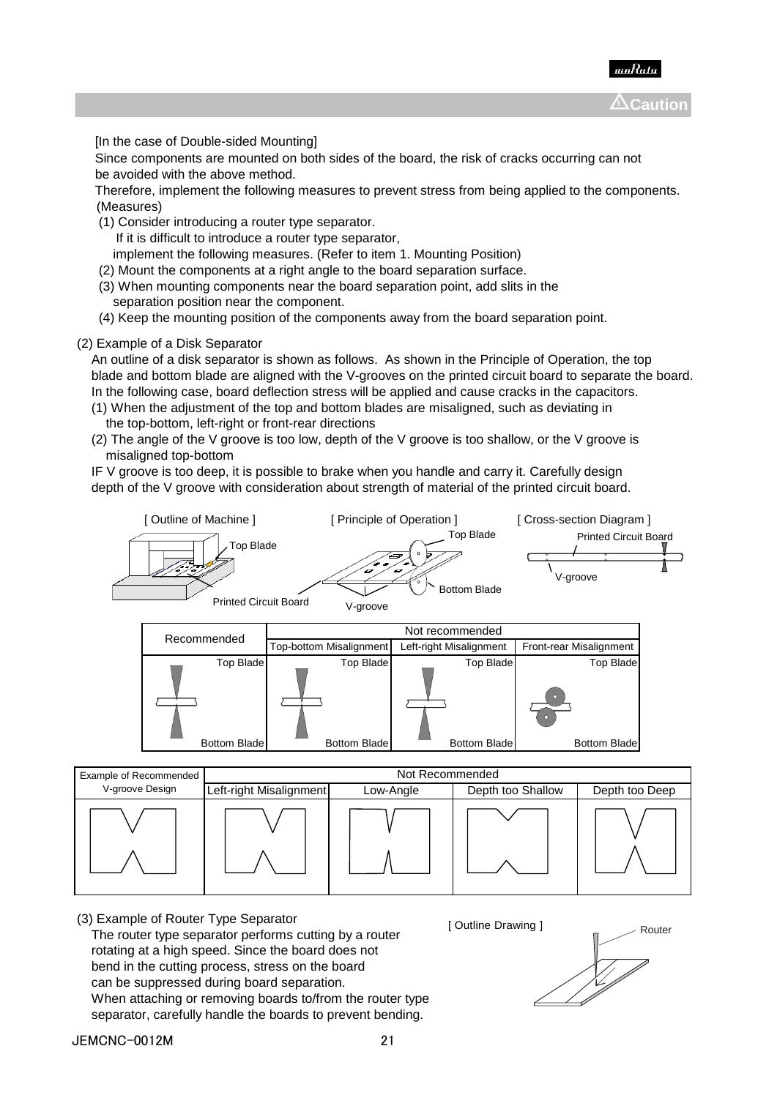

[In the case of Double-sided Mounting]

 Since components are mounted on both sides of the board, the risk of cracks occurring can not be avoided with the above method.

 Therefore, implement the following measures to prevent stress from being applied to the components. (Measures)

(1) Consider introducing a router type separator.

If it is difficult to introduce a router type separator,

implement the following measures. (Refer to item 1. Mounting Position)

- (2) Mount the components at a right angle to the board separation surface.
- (3) When mounting components near the board separation point, add slits in the separation position near the component.
- (4) Keep the mounting position of the components away from the board separation point.

### (2) Example of a Disk Separator

 An outline of a disk separator is shown as follows. As shown in the Principle of Operation, the top blade and bottom blade are aligned with the V-grooves on the printed circuit board to separate the board. In the following case, board deflection stress will be applied and cause cracks in the capacitors.

- (1) When the adjustment of the top and bottom blades are misaligned, such as deviating in the top-bottom, left-right or front-rear directions
- (2) The angle of the V groove is too low, depth of the V groove is too shallow, or the V groove is misaligned top-bottom

 IF V groove is too deep, it is possible to brake when you handle and carry it. Carefully design depth of the V groove with consideration about strength of material of the printed circuit board.



| Recommended      |                         | Not recommended         |                         |  |
|------------------|-------------------------|-------------------------|-------------------------|--|
|                  | Top-bottom Misalignment | Left-right Misalignment | Front-rear Misalignment |  |
| <b>Top Blade</b> | <b>Top Blade</b>        | Top Blade               | Top Blade               |  |
|                  |                         |                         | n<br>o                  |  |
| Bottom Blade     | <b>Bottom Blade</b>     | Bottom Blade            | <b>Bottom Blade</b>     |  |

| Example of Recommended |                         | Not Recommended |                   |                |
|------------------------|-------------------------|-----------------|-------------------|----------------|
| V-groove Design        | Left-right Misalignment | Low-Angle       | Depth too Shallow | Depth too Deep |
|                        |                         |                 |                   |                |

(3) Example of Router Type Separator The router type separator performs cutting by a router rotating at a high speed. Since the board does not bend in the cutting process, stress on the board can be suppressed during board separation. When attaching or removing boards to/from the router type separator, carefully handle the boards to prevent bending.

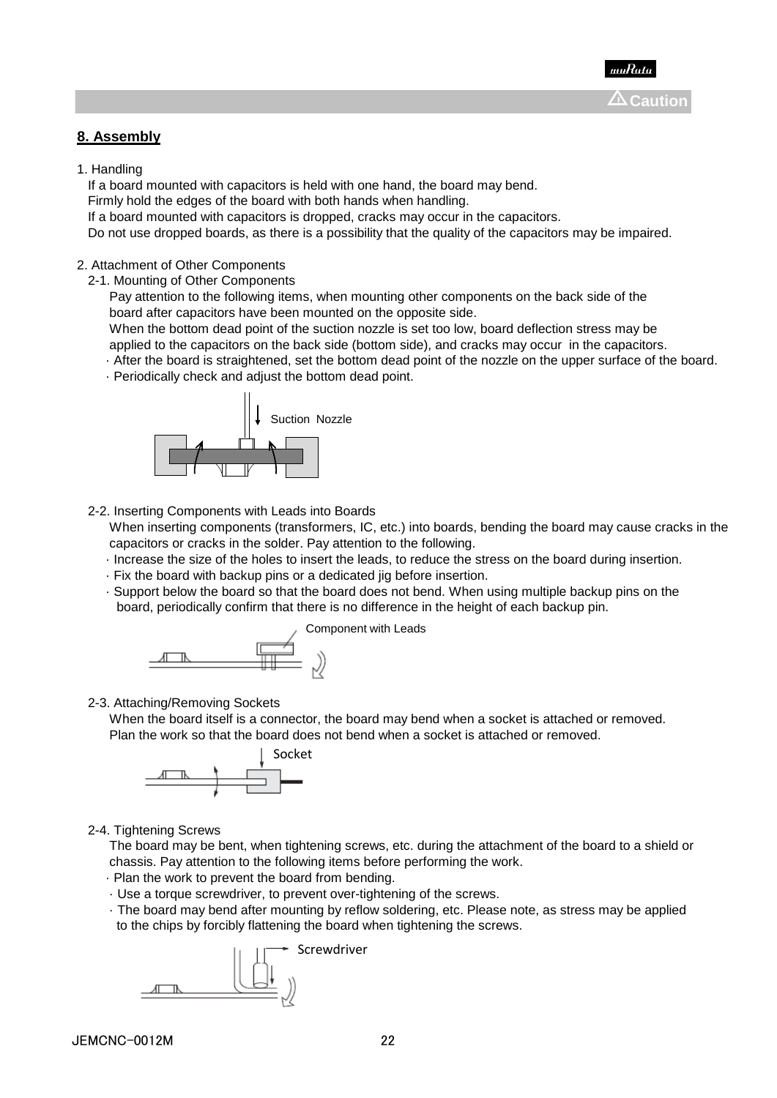# **8. Assembly**

1. Handling

If a board mounted with capacitors is held with one hand, the board may bend.

Firmly hold the edges of the board with both hands when handling.

If a board mounted with capacitors is dropped, cracks may occur in the capacitors.

Do not use dropped boards, as there is a possibility that the quality of the capacitors may be impaired.

### 2. Attachment of Other Components

2-1. Mounting of Other Components

 Pay attention to the following items, when mounting other components on the back side of the board after capacitors have been mounted on the opposite side.

 When the bottom dead point of the suction nozzle is set too low, board deflection stress may be applied to the capacitors on the back side (bottom side), and cracks may occur in the capacitors.

· After the board is straightened, set the bottom dead point of the nozzle on the upper surface of the board.

· Periodically check and adjust the bottom dead point.



2-2. Inserting Components with Leads into Boards

 When inserting components (transformers, IC, etc.) into boards, bending the board may cause cracks in the capacitors or cracks in the solder. Pay attention to the following.

- · Increase the size of the holes to insert the leads, to reduce the stress on the board during insertion.
- · Fix the board with backup pins or a dedicated jig before insertion.
- · Support below the board so that the board does not bend. When using multiple backup pins on the board, periodically confirm that there is no difference in the height of each backup pin.



2-3. Attaching/Removing Sockets

 When the board itself is a connector, the board may bend when a socket is attached or removed. Plan the work so that the board does not bend when a socket is attached or removed.



2-4. Tightening Screws

 The board may be bent, when tightening screws, etc. during the attachment of the board to a shield or chassis. Pay attention to the following items before performing the work.

- · Plan the work to prevent the board from bending.
- · Use a torque screwdriver, to prevent over-tightening of the screws.
- · The board may bend after mounting by reflow soldering, etc. Please note, as stress may be applied to the chips by forcibly flattening the board when tightening the screws.

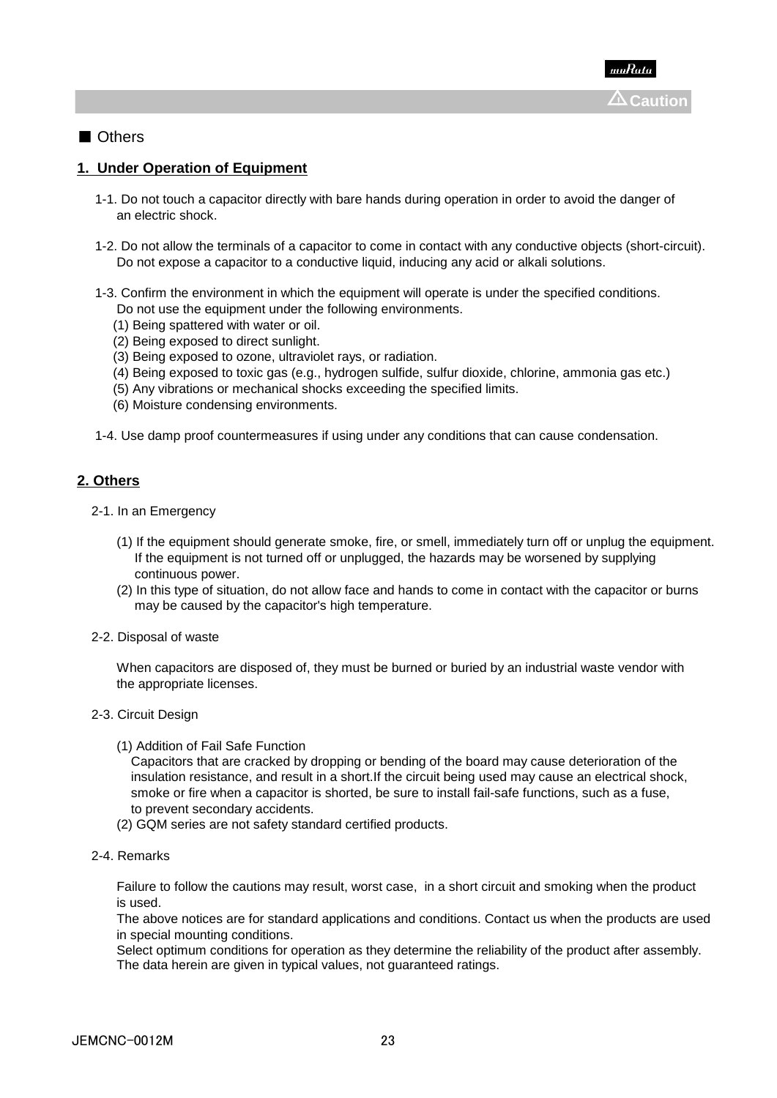### ■ Others

# **1. Under Operation of Equipment**

- 1-1. Do not touch a capacitor directly with bare hands during operation in order to avoid the danger of an electric shock.
- 1-2. Do not allow the terminals of a capacitor to come in contact with any conductive objects (short-circuit). Do not expose a capacitor to a conductive liquid, inducing any acid or alkali solutions.
- 1-3. Confirm the environment in which the equipment will operate is under the specified conditions. Do not use the equipment under the following environments.
	- (1) Being spattered with water or oil.
	- (2) Being exposed to direct sunlight.
	- (3) Being exposed to ozone, ultraviolet rays, or radiation.
	- (4) Being exposed to toxic gas (e.g., hydrogen sulfide, sulfur dioxide, chlorine, ammonia gas etc.)
	- (5) Any vibrations or mechanical shocks exceeding the specified limits.
	- (6) Moisture condensing environments.

1-4. Use damp proof countermeasures if using under any conditions that can cause condensation.

### **2. Others**

- 2-1. In an Emergency
	- (1) If the equipment should generate smoke, fire, or smell, immediately turn off or unplug the equipment. If the equipment is not turned off or unplugged, the hazards may be worsened by supplying continuous power.
	- (2) In this type of situation, do not allow face and hands to come in contact with the capacitor or burns may be caused by the capacitor's high temperature.
- 2-2. Disposal of waste

 When capacitors are disposed of, they must be burned or buried by an industrial waste vendor with the appropriate licenses.

- 2-3. Circuit Design
	- (1) Addition of Fail Safe Function

 Capacitors that are cracked by dropping or bending of the board may cause deterioration of the insulation resistance, and result in a short.If the circuit being used may cause an electrical shock, smoke or fire when a capacitor is shorted, be sure to install fail-safe functions, such as a fuse, to prevent secondary accidents.

- (2) GQM series are not safety standard certified products.
- 2-4. Remarks

 Failure to follow the cautions may result, worst case, in a short circuit and smoking when the product is used.

 The above notices are for standard applications and conditions. Contact us when the products are used in special mounting conditions.

 Select optimum conditions for operation as they determine the reliability of the product after assembly. The data herein are given in typical values, not guaranteed ratings.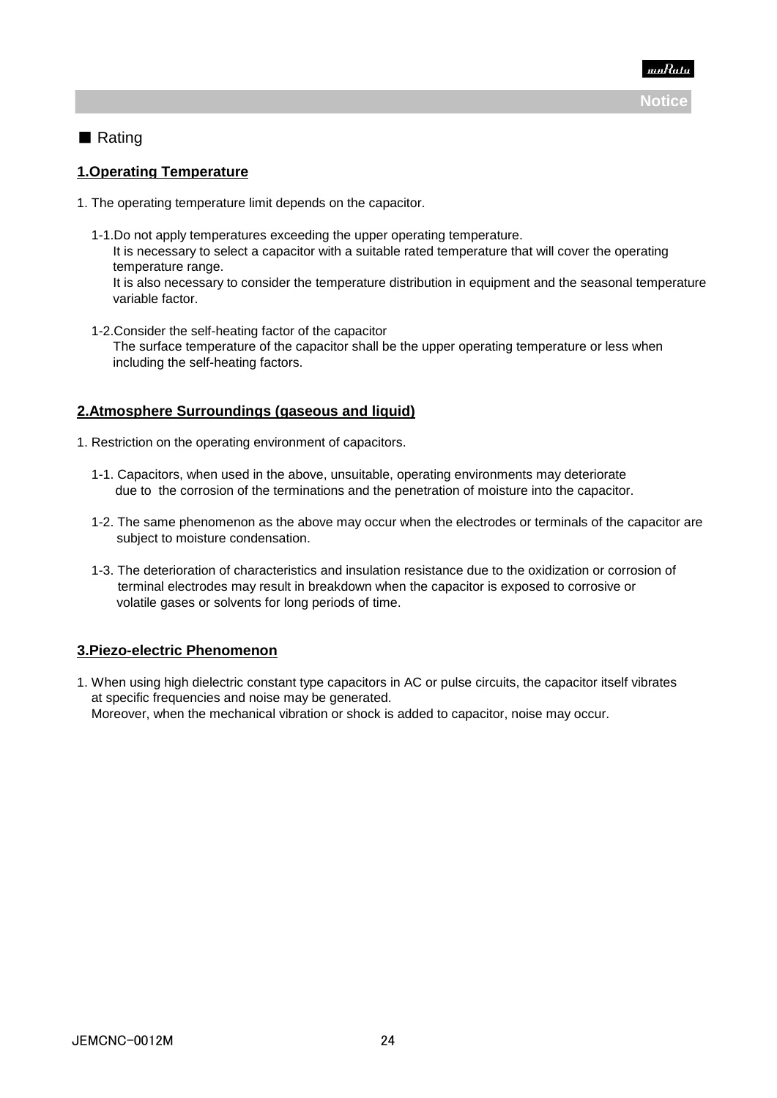

# ■ Rating

# **1.Operating Temperature**

- 1. The operating temperature limit depends on the capacitor.
	- 1-1.Do not apply temperatures exceeding the upper operating temperature. It is necessary to select a capacitor with a suitable rated temperature that will cover the operating temperature range.

 It is also necessary to consider the temperature distribution in equipment and the seasonal temperature variable factor.

 1-2.Consider the self-heating factor of the capacitor The surface temperature of the capacitor shall be the upper operating temperature or less when including the self-heating factors.

# **2.Atmosphere Surroundings (gaseous and liquid)**

- 1. Restriction on the operating environment of capacitors.
	- 1-1. Capacitors, when used in the above, unsuitable, operating environments may deteriorate due to the corrosion of the terminations and the penetration of moisture into the capacitor.
	- 1-2. The same phenomenon as the above may occur when the electrodes or terminals of the capacitor are subject to moisture condensation.
	- 1-3. The deterioration of characteristics and insulation resistance due to the oxidization or corrosion of terminal electrodes may result in breakdown when the capacitor is exposed to corrosive or volatile gases or solvents for long periods of time.

# **3.Piezo-electric Phenomenon**

1. When using high dielectric constant type capacitors in AC or pulse circuits, the capacitor itself vibrates at specific frequencies and noise may be generated. Moreover, when the mechanical vibration or shock is added to capacitor, noise may occur.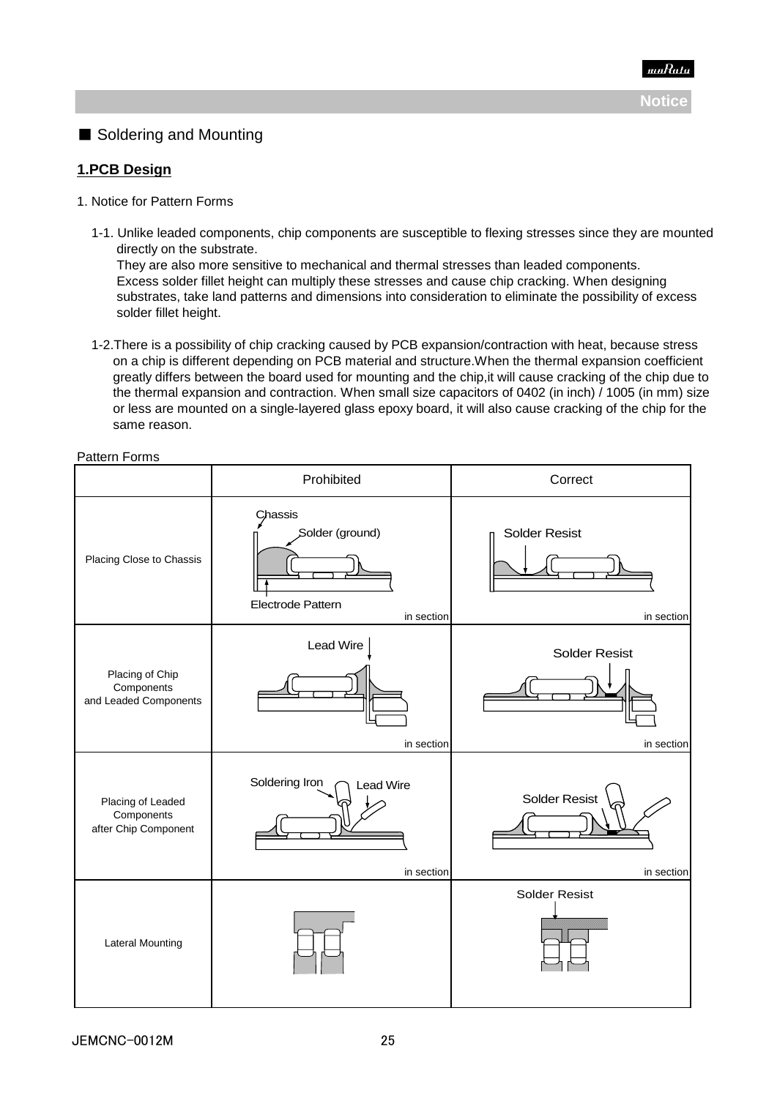

# ■ Soldering and Mounting

# **1.PCB Design**

- 1. Notice for Pattern Forms
	- 1-1. Unlike leaded components, chip components are susceptible to flexing stresses since they are mounted directly on the substrate.

 They are also more sensitive to mechanical and thermal stresses than leaded components. Excess solder fillet height can multiply these stresses and cause chip cracking. When designing substrates, take land patterns and dimensions into consideration to eliminate the possibility of excess solder fillet height.

 1-2.There is a possibility of chip cracking caused by PCB expansion/contraction with heat, because stress on a chip is different depending on PCB material and structure.When the thermal expansion coefficient greatly differs between the board used for mounting and the chip,it will cause cracking of the chip due to the thermal expansion and contraction. When small size capacitors of 0402 (in inch) / 1005 (in mm) size or less are mounted on a single-layered glass epoxy board, it will also cause cracking of the chip for the same reason.

|                                                         | Prohibited                                                    | Correct                            |
|---------------------------------------------------------|---------------------------------------------------------------|------------------------------------|
| Placing Close to Chassis                                | Chassis<br>Solder (ground)<br>Electrode Pattern<br>in section | <b>Solder Resist</b><br>in section |
| Placing of Chip<br>Components<br>and Leaded Components  | Lead Wire<br>in section                                       | <b>Solder Resist</b><br>in section |
| Placing of Leaded<br>Components<br>after Chip Component | Soldering Iron<br><b>Lead Wire</b><br>in section              | <b>Solder Resist</b><br>in section |
| <b>Lateral Mounting</b>                                 |                                                               | <b>Solder Resist</b>               |

Pattern Forms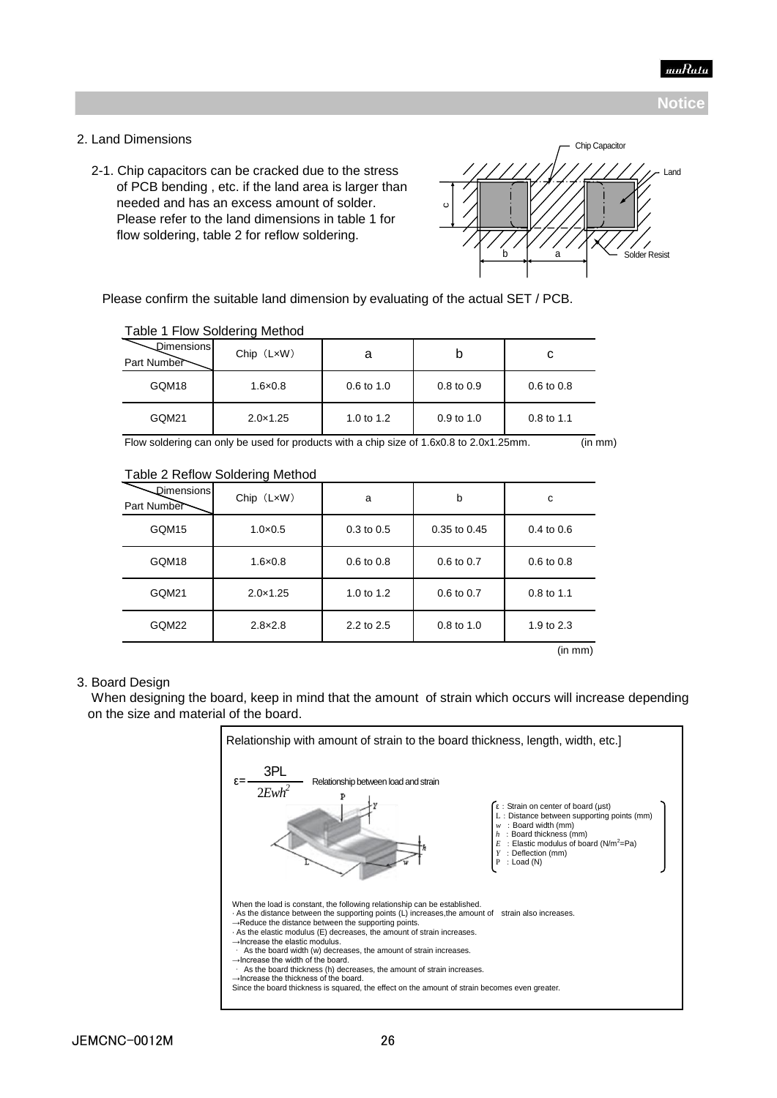

### 2. Land Dimensions

 2-1. Chip capacitors can be cracked due to the stress of PCB bending , etc. if the land area is larger than needed and has an excess amount of solder. Please refer to the land dimensions in table 1 for flow soldering, table 2 for reflow soldering.



Please confirm the suitable land dimension by evaluating of the actual SET / PCB.

| Dimensions<br>Part Number | $Chip$ $(LxW)$    |                       |              | C                     |
|---------------------------|-------------------|-----------------------|--------------|-----------------------|
| GQM18                     | $1.6 \times 0.8$  | $0.6 \text{ to } 1.0$ | 0.8 to 0.9   | $0.6 \text{ to } 0.8$ |
| GQM21                     | $2.0 \times 1.25$ | 1.0 to $1.2$          | $0.9$ to 1.0 | $0.8$ to 1.1          |

### Table 1 Flow Soldering Method

Flow soldering can only be used for products with a chip size of 1.6x0.8 to 2.0x1.25mm. (in mm)

Table 2 Reflow Soldering Method

| Dimensions<br>Part Number | $Chip$ $(LxW)$    | a                     | b                     | c                     |
|---------------------------|-------------------|-----------------------|-----------------------|-----------------------|
| GQM15                     | $1.0 \times 0.5$  | $0.3$ to $0.5$        | $0.35$ to $0.45$      | $0.4 \text{ to } 0.6$ |
| GQM18                     | $1.6 \times 0.8$  | $0.6 \text{ to } 0.8$ | $0.6$ to $0.7$        | $0.6 \text{ to } 0.8$ |
| GQM21                     | $2.0 \times 1.25$ | 1.0 to $1.2$          | $0.6 \text{ to } 0.7$ | $0.8$ to 1.1          |
| GQM22                     | $2.8 \times 2.8$  | 2.2 to 2.5            | $0.8$ to 1.0          | 1.9 to 2.3            |
|                           |                   |                       |                       | $\cdots$<br>$\sim$    |

(in mm)

### 3. Board Design

 When designing the board, keep in mind that the amount of strain which occurs will increase depending on the size and material of the board.

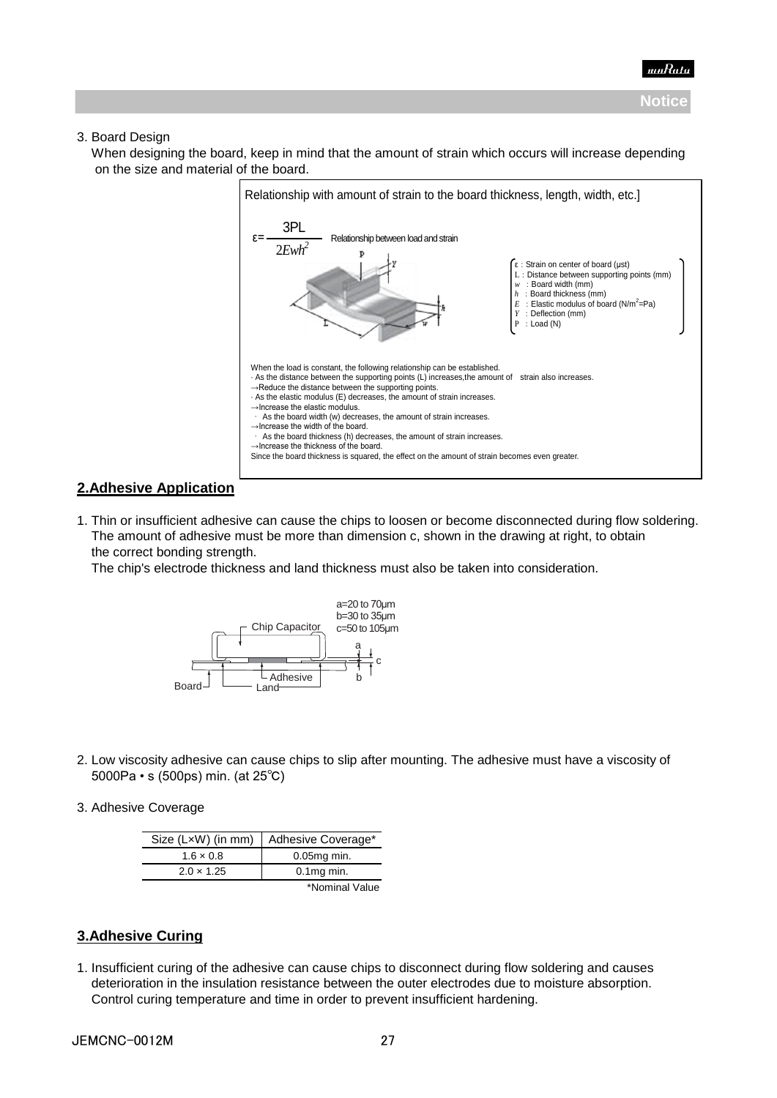### 3. Board Design

When designing the board, keep in mind that the amount of strain which occurs will increase depending on the size and material of the board.



# **2.Adhesive Application**

1. Thin or insufficient adhesive can cause the chips to loosen or become disconnected during flow soldering. The amount of adhesive must be more than dimension c, shown in the drawing at right, to obtain the correct bonding strength.

The chip's electrode thickness and land thickness must also be taken into consideration.



- 2. Low viscosity adhesive can cause chips to slip after mounting. The adhesive must have a viscosity of 5000Pa • s (500ps) min. (at 25℃)
- 3. Adhesive Coverage

|                   | Size (LxW) (in mm) Adhesive Coverage* |
|-------------------|---------------------------------------|
| $1.6 \times 0.8$  | $0.05mg$ min.                         |
| $2.0 \times 1.25$ | $0.1$ mg min.                         |
|                   | *Nominal Value                        |

# **3.Adhesive Curing**

1. Insufficient curing of the adhesive can cause chips to disconnect during flow soldering and causes deterioration in the insulation resistance between the outer electrodes due to moisture absorption. Control curing temperature and time in order to prevent insufficient hardening.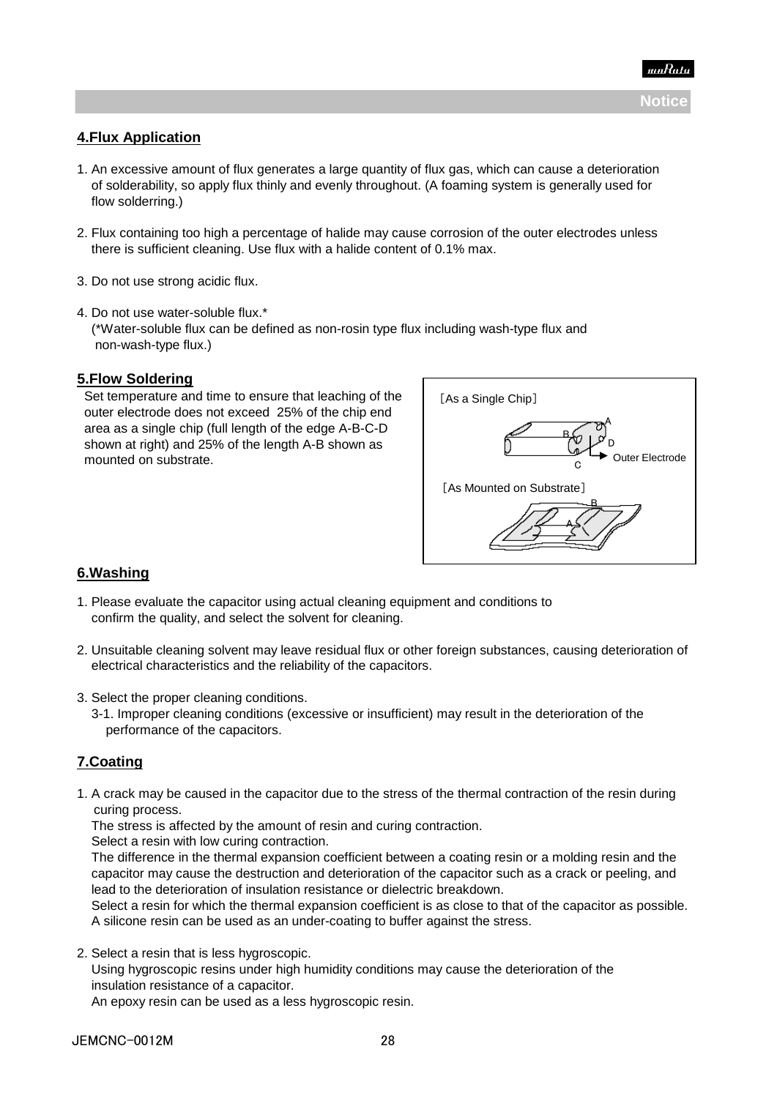# **4.Flux Application**

- 1. An excessive amount of flux generates a large quantity of flux gas, which can cause a deterioration of solderability, so apply flux thinly and evenly throughout. (A foaming system is generally used for flow solderring.)
- 2. Flux containing too high a percentage of halide may cause corrosion of the outer electrodes unless there is sufficient cleaning. Use flux with a halide content of 0.1% max.
- 3. Do not use strong acidic flux.
- 4. Do not use water-soluble flux.\* (\*Water-soluble flux can be defined as non-rosin type flux including wash-type flux and non-wash-type flux.)

### **5.Flow Soldering**

 Set temperature and time to ensure that leaching of the outer electrode does not exceed 25% of the chip end area as a single chip (full length of the edge A-B-C-D shown at right) and 25% of the length A-B shown as mounted on substrate.



# **6.Washing**

- 1. Please evaluate the capacitor using actual cleaning equipment and conditions to confirm the quality, and select the solvent for cleaning.
- 2. Unsuitable cleaning solvent may leave residual flux or other foreign substances, causing deterioration of electrical characteristics and the reliability of the capacitors.
- 3. Select the proper cleaning conditions.
	- 3-1. Improper cleaning conditions (excessive or insufficient) may result in the deterioration of the performance of the capacitors.

# **7.Coating**

1. A crack may be caused in the capacitor due to the stress of the thermal contraction of the resin during curing process.

The stress is affected by the amount of resin and curing contraction.

Select a resin with low curing contraction.

 The difference in the thermal expansion coefficient between a coating resin or a molding resin and the capacitor may cause the destruction and deterioration of the capacitor such as a crack or peeling, and lead to the deterioration of insulation resistance or dielectric breakdown.

 Select a resin for which the thermal expansion coefficient is as close to that of the capacitor as possible. A silicone resin can be used as an under-coating to buffer against the stress.

2. Select a resin that is less hygroscopic.

 Using hygroscopic resins under high humidity conditions may cause the deterioration of the insulation resistance of a capacitor.

An epoxy resin can be used as a less hygroscopic resin.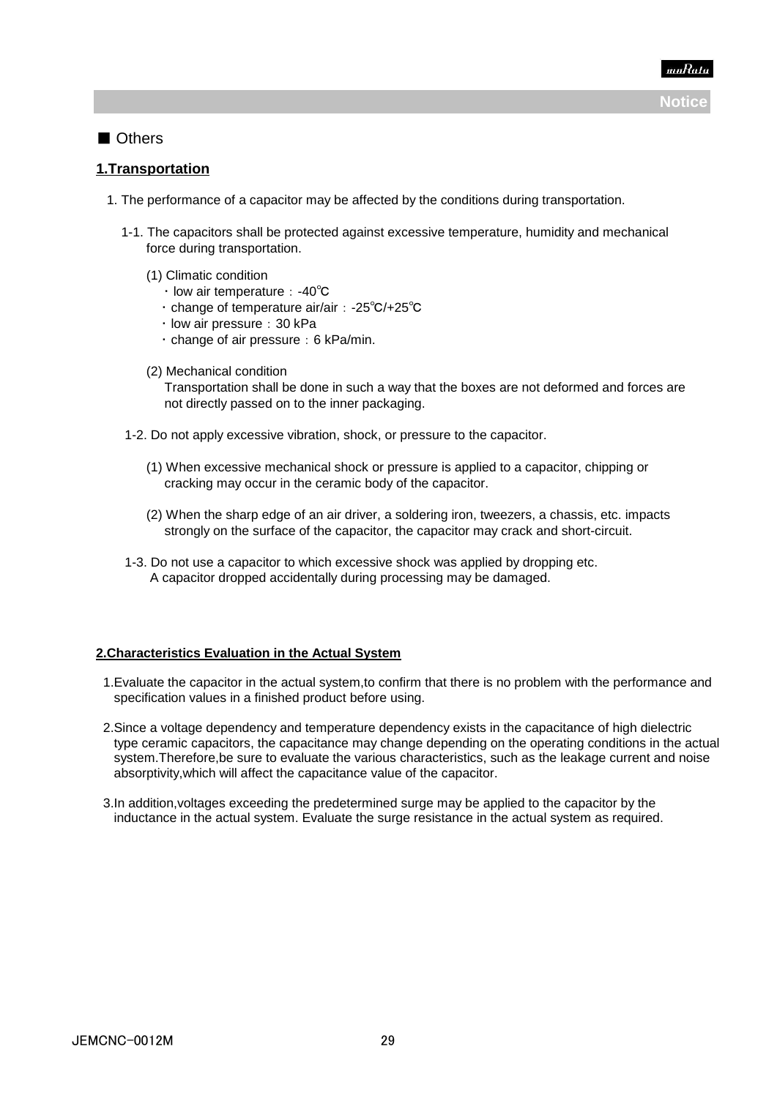

# ■ Others

# **1.Transportation**

- 1. The performance of a capacitor may be affected by the conditions during transportation.
	- 1-1. The capacitors shall be protected against excessive temperature, humidity and mechanical force during transportation.
		- (1) Climatic condition
			- ・ low air temperature:-40℃
			- ・ change of temperature air/air:-25℃/+25℃
			- · low air pressure: 30 kPa
			- $\cdot$  change of air pressure: 6 kPa/min.
		- (2) Mechanical condition

 Transportation shall be done in such a way that the boxes are not deformed and forces are not directly passed on to the inner packaging.

- 1-2. Do not apply excessive vibration, shock, or pressure to the capacitor.
	- (1) When excessive mechanical shock or pressure is applied to a capacitor, chipping or cracking may occur in the ceramic body of the capacitor.
	- (2) When the sharp edge of an air driver, a soldering iron, tweezers, a chassis, etc. impacts strongly on the surface of the capacitor, the capacitor may crack and short-circuit.
- 1-3. Do not use a capacitor to which excessive shock was applied by dropping etc. A capacitor dropped accidentally during processing may be damaged.

### **2.Characteristics Evaluation in the Actual System**

- 1.Evaluate the capacitor in the actual system,to confirm that there is no problem with the performance and specification values in a finished product before using.
- 2.Since a voltage dependency and temperature dependency exists in the capacitance of high dielectric type ceramic capacitors, the capacitance may change depending on the operating conditions in the actual system.Therefore,be sure to evaluate the various characteristics, such as the leakage current and noise absorptivity,which will affect the capacitance value of the capacitor.
- 3.In addition,voltages exceeding the predetermined surge may be applied to the capacitor by the inductance in the actual system. Evaluate the surge resistance in the actual system as required.